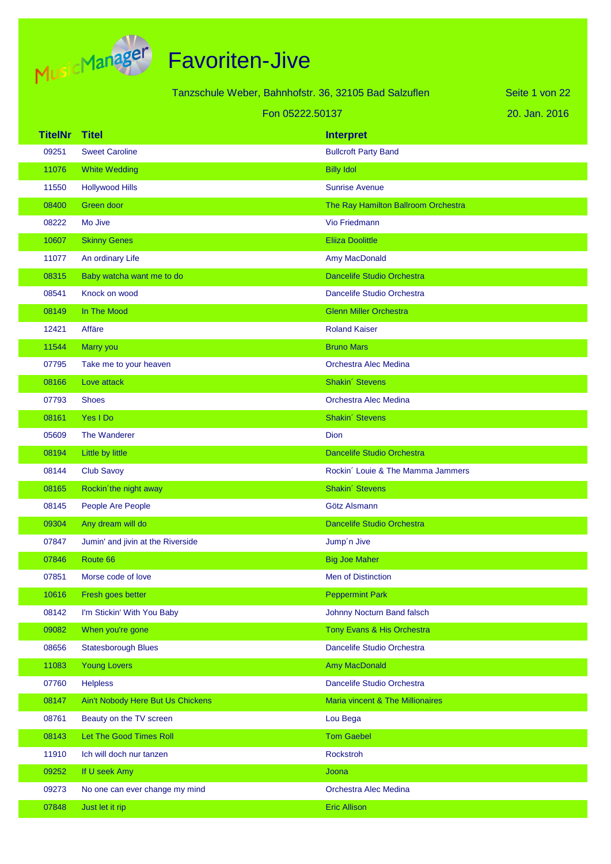

Tanzschule Weber, Bahnhofstr. 36, 32105 Bad Salzuflen

20. Jan. 2016 Seite 1 von 22

|                | Fon 05222.50137                   |                                     | 20. Jan. 2016 |
|----------------|-----------------------------------|-------------------------------------|---------------|
| <b>TitelNr</b> | <b>Titel</b>                      | <b>Interpret</b>                    |               |
| 09251          | <b>Sweet Caroline</b>             | <b>Bullcroft Party Band</b>         |               |
| 11076          | <b>White Wedding</b>              | <b>Billy Idol</b>                   |               |
| 11550          | <b>Hollywood Hills</b>            | <b>Sunrise Avenue</b>               |               |
| 08400          | Green door                        | The Ray Hamilton Ballroom Orchestra |               |
| 08222          | Mo Jive                           | Vio Friedmann                       |               |
| 10607          | <b>Skinny Genes</b>               | <b>Eliiza Doolittle</b>             |               |
| 11077          | An ordinary Life                  | Amy MacDonald                       |               |
| 08315          | Baby watcha want me to do         | <b>Dancelife Studio Orchestra</b>   |               |
| 08541          | Knock on wood                     | Dancelife Studio Orchestra          |               |
| 08149          | In The Mood                       | <b>Glenn Miller Orchestra</b>       |               |
| 12421          | Affäre                            | <b>Roland Kaiser</b>                |               |
| 11544          | Marry you                         | <b>Bruno Mars</b>                   |               |
| 07795          | Take me to your heaven            | Orchestra Alec Medina               |               |
| 08166          | Love attack                       | Shakin' Stevens                     |               |
| 07793          | <b>Shoes</b>                      | Orchestra Alec Medina               |               |
| 08161          | Yes I Do                          | <b>Shakin' Stevens</b>              |               |
| 05609          | The Wanderer                      | Dion                                |               |
| 08194          | Little by little                  | <b>Dancelife Studio Orchestra</b>   |               |
| 08144          | <b>Club Savoy</b>                 | Rockin' Louie & The Mamma Jammers   |               |
| 08165          | Rockin'the night away             | Shakin' Stevens                     |               |
| 08145          | People Are People                 | Götz Alsmann                        |               |
| 09304          | Any dream will do                 | Dancelife Studio Orchestra          |               |
| 07847          | Jumin' and jivin at the Riverside | Jump'n Jive                         |               |
| 07846          | Route 66                          | <b>Big Joe Maher</b>                |               |
| 07851          | Morse code of love                | Men of Distinction                  |               |
| 10616          | Fresh goes better                 | <b>Peppermint Park</b>              |               |
| 08142          | I'm Stickin' With You Baby        | Johnny Nocturn Band falsch          |               |
| 09082          | When you're gone                  | Tony Evans & His Orchestra          |               |
| 08656          | <b>Statesborough Blues</b>        | Dancelife Studio Orchestra          |               |
| 11083          | <b>Young Lovers</b>               | <b>Amy MacDonald</b>                |               |
| 07760          | <b>Helpless</b>                   | Dancelife Studio Orchestra          |               |
| 08147          | Ain't Nobody Here But Us Chickens | Maria vincent & The Millionaires    |               |
| 08761          | Beauty on the TV screen           | Lou Bega                            |               |
| 08143          | Let The Good Times Roll           | <b>Tom Gaebel</b>                   |               |
| 11910          | Ich will doch nur tanzen          | Rockstroh                           |               |
| 09252          | If U seek Amy                     | Joona                               |               |
| 09273          | No one can ever change my mind    | Orchestra Alec Medina               |               |
| 07848          | Just let it rip                   | <b>Eric Allison</b>                 |               |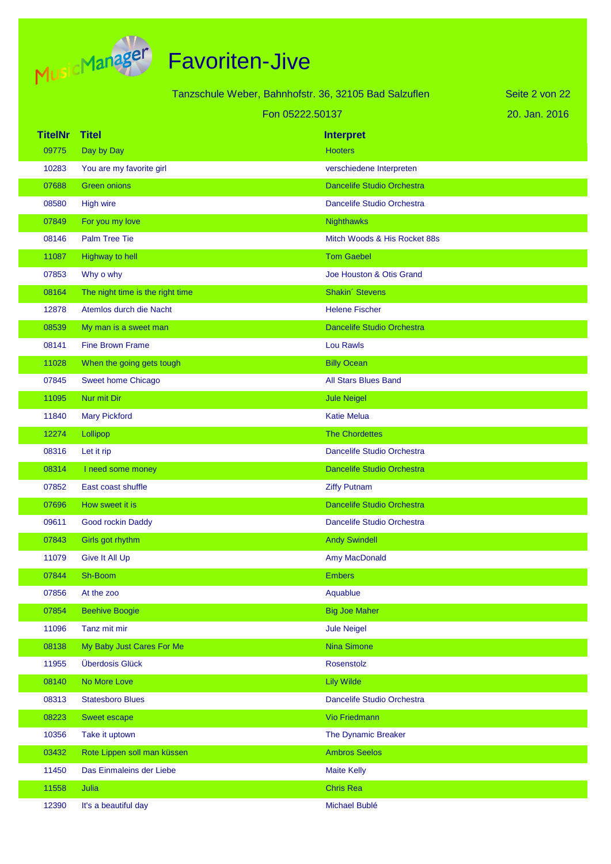

|                |                                  | Tanzschule Weber, Bahnhofstr. 36, 32105 Bad Salzuflen | Seite 2 von 22 |
|----------------|----------------------------------|-------------------------------------------------------|----------------|
|                |                                  | Fon 05222.50137                                       | 20. Jan. 2016  |
| <b>TitelNr</b> | Titel                            | <b>Interpret</b>                                      |                |
| 09775          | Day by Day                       | <b>Hooters</b>                                        |                |
| 10283          | You are my favorite girl         | verschiedene Interpreten                              |                |
| 07688          | <b>Green onions</b>              | <b>Dancelife Studio Orchestra</b>                     |                |
| 08580          | <b>High wire</b>                 | Dancelife Studio Orchestra                            |                |
| 07849          | For you my love                  | <b>Nighthawks</b>                                     |                |
| 08146          | <b>Palm Tree Tie</b>             | Mitch Woods & His Rocket 88s                          |                |
| 11087          | <b>Highway to hell</b>           | <b>Tom Gaebel</b>                                     |                |
| 07853          | Why o why                        | Joe Houston & Otis Grand                              |                |
| 08164          | The night time is the right time | Shakin' Stevens                                       |                |
| 12878          | Atemlos durch die Nacht          | <b>Helene Fischer</b>                                 |                |
| 08539          | My man is a sweet man            | <b>Dancelife Studio Orchestra</b>                     |                |
| 08141          | <b>Fine Brown Frame</b>          | Lou Rawls                                             |                |
| 11028          | When the going gets tough        | <b>Billy Ocean</b>                                    |                |
| 07845          | Sweet home Chicago               | <b>All Stars Blues Band</b>                           |                |
| 11095          | Nur mit Dir                      | <b>Jule Neigel</b>                                    |                |
| 11840          | <b>Mary Pickford</b>             | <b>Katie Melua</b>                                    |                |
| 12274          | Lollipop                         | <b>The Chordettes</b>                                 |                |
| 08316          | Let it rip                       | Dancelife Studio Orchestra                            |                |
| 08314          | I need some money                | <b>Dancelife Studio Orchestra</b>                     |                |
| 07852          | East coast shuffle               | <b>Ziffy Putnam</b>                                   |                |
| 07696          | How sweet it is                  | <b>Dancelife Studio Orchestra</b>                     |                |
| 09611          | Good rockin Daddy                | Dancelife Studio Orchestra                            |                |
| 07843          | Girls got rhythm                 | <b>Andy Swindell</b>                                  |                |
| 11079          | Give It All Up                   | Amy MacDonald                                         |                |
| 07844          | Sh-Boom                          | <b>Embers</b>                                         |                |
| 07856          | At the zoo                       | Aquablue                                              |                |
| 07854          | <b>Beehive Boogie</b>            | <b>Big Joe Maher</b>                                  |                |
| 11096          | Tanz mit mir                     | <b>Jule Neigel</b>                                    |                |
| 08138          | My Baby Just Cares For Me        | <b>Nina Simone</b>                                    |                |
| 11955          | Überdosis Glück                  | Rosenstolz                                            |                |
| 08140          | No More Love                     | <b>Lily Wilde</b>                                     |                |
| 08313          | <b>Statesboro Blues</b>          | Dancelife Studio Orchestra                            |                |
| 08223          | Sweet escape                     | <b>Vio Friedmann</b>                                  |                |
| 10356          | Take it uptown                   | The Dynamic Breaker                                   |                |
| 03432          | Rote Lippen soll man küssen      | <b>Ambros Seelos</b>                                  |                |
| 11450          | Das Einmaleins der Liebe         | <b>Maite Kelly</b>                                    |                |
| 11558          | Julia                            | <b>Chris Rea</b>                                      |                |
| 12390          | It's a beautiful day             | Michael Bublé                                         |                |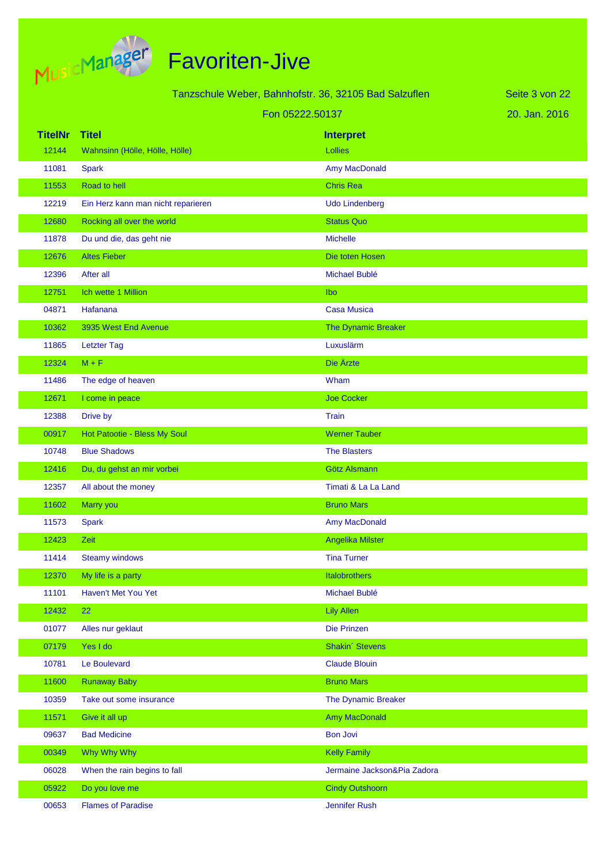

|                |                                    | Tanzschule Weber, Bahnhofstr. 36, 32105 Bad Salzuflen | Seite 3 von 22 |
|----------------|------------------------------------|-------------------------------------------------------|----------------|
|                |                                    | Fon 05222.50137                                       | 20. Jan. 2016  |
| <b>TitelNr</b> | <b>Titel</b>                       | <b>Interpret</b>                                      |                |
| 12144          | Wahnsinn (Hölle, Hölle, Hölle)     | Lollies                                               |                |
| 11081          | <b>Spark</b>                       | Amy MacDonald                                         |                |
| 11553          | Road to hell                       | <b>Chris Rea</b>                                      |                |
| 12219          | Ein Herz kann man nicht reparieren | <b>Udo Lindenberg</b>                                 |                |
| 12680          | Rocking all over the world         | <b>Status Quo</b>                                     |                |
| 11878          | Du und die, das geht nie           | <b>Michelle</b>                                       |                |
| 12676          | <b>Altes Fieber</b>                | Die toten Hosen                                       |                |
| 12396          | After all                          | Michael Bublé                                         |                |
| 12751          | Ich wette 1 Million                | Ibo                                                   |                |
| 04871          | Hafanana                           | <b>Casa Musica</b>                                    |                |
| 10362          | 3935 West End Avenue               | The Dynamic Breaker                                   |                |
| 11865          | <b>Letzter Tag</b>                 | Luxuslärm                                             |                |
| 12324          | $M + F$                            | Die Ärzte                                             |                |
| 11486          | The edge of heaven                 | Wham                                                  |                |
| 12671          | I come in peace                    | <b>Joe Cocker</b>                                     |                |
| 12388          | Drive by                           | <b>Train</b>                                          |                |
| 00917          | Hot Patootie - Bless My Soul       | <b>Werner Tauber</b>                                  |                |
| 10748          | <b>Blue Shadows</b>                | <b>The Blasters</b>                                   |                |
| 12416          | Du, du gehst an mir vorbei         | Götz Alsmann                                          |                |
| 12357          | All about the money                | Timati & La La Land                                   |                |
| 11602          | Marry you                          | <b>Bruno Mars</b>                                     |                |
| 11573          | <b>Spark</b>                       | Amy MacDonald                                         |                |
| 12423          | Zeit                               | Angelika Milster                                      |                |
| 11414          | <b>Steamy windows</b>              | <b>Tina Turner</b>                                    |                |
| 12370          | My life is a party                 | Italobrothers                                         |                |
| 11101          | Haven't Met You Yet                | Michael Bublé                                         |                |
| 12432          | 22                                 | <b>Lily Allen</b>                                     |                |
| 01077          | Alles nur geklaut                  | Die Prinzen                                           |                |
| 07179          | Yes I do                           | Shakin' Stevens                                       |                |
| 10781          | Le Boulevard                       | <b>Claude Blouin</b>                                  |                |
| 11600          | <b>Runaway Baby</b>                | <b>Bruno Mars</b>                                     |                |
| 10359          | Take out some insurance            | The Dynamic Breaker                                   |                |
| 11571          | Give it all up                     | <b>Amy MacDonald</b>                                  |                |
| 09637          | <b>Bad Medicine</b>                | <b>Bon Jovi</b>                                       |                |
| 00349          | Why Why Why                        | <b>Kelly Family</b>                                   |                |
| 06028          | When the rain begins to fall       | Jermaine Jackson&Pia Zadora                           |                |
| 05922          | Do you love me                     | <b>Cindy Outshoorn</b>                                |                |
| 00653          | <b>Flames of Paradise</b>          | Jennifer Rush                                         |                |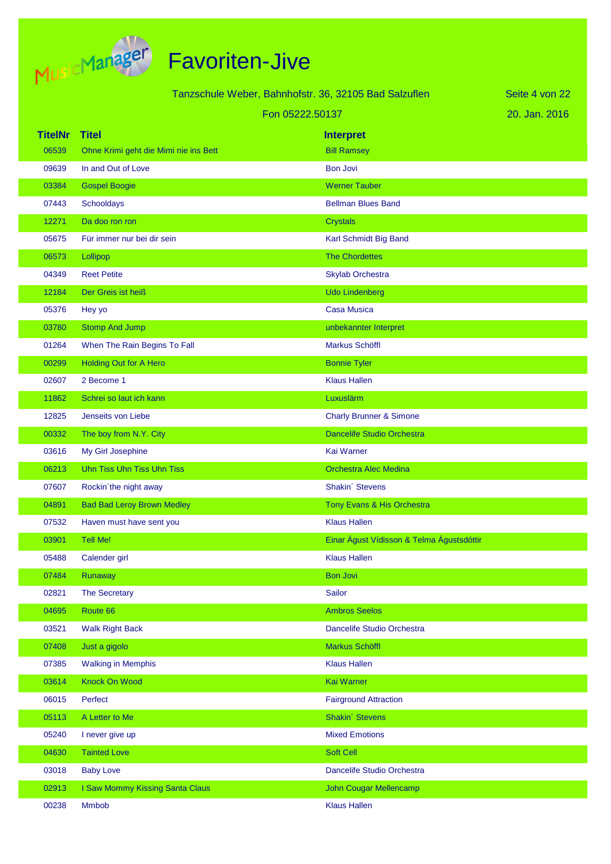

|                |                                                       |                                           | Seite 4 von 22 |
|----------------|-------------------------------------------------------|-------------------------------------------|----------------|
|                | Tanzschule Weber, Bahnhofstr. 36, 32105 Bad Salzuflen |                                           |                |
|                |                                                       | Fon 05222.50137                           | 20. Jan. 2016  |
| <b>TitelNr</b> | <b>Titel</b>                                          | <b>Interpret</b>                          |                |
| 06539          | Ohne Krimi geht die Mimi nie ins Bett                 | <b>Bill Ramsey</b>                        |                |
| 09639          | In and Out of Love                                    | <b>Bon Jovi</b>                           |                |
| 03384          | <b>Gospel Boogie</b>                                  | <b>Werner Tauber</b>                      |                |
| 07443          | Schooldays                                            | <b>Bellman Blues Band</b>                 |                |
| 12271          | Da doo ron ron                                        | <b>Crystals</b>                           |                |
| 05675          | Für immer nur bei dir sein                            | Karl Schmidt Big Band                     |                |
| 06573          | Lollipop                                              | <b>The Chordettes</b>                     |                |
| 04349          | <b>Reet Petite</b>                                    | <b>Skylab Orchestra</b>                   |                |
| 12184          | Der Greis ist heiß                                    | <b>Udo Lindenberg</b>                     |                |
| 05376          | Hey yo                                                | <b>Casa Musica</b>                        |                |
| 03780          | <b>Stomp And Jump</b>                                 | unbekannter Interpret                     |                |
| 01264          | When The Rain Begins To Fall                          | Markus Schöffl                            |                |
| 00299          | <b>Holding Out for A Hero</b>                         | <b>Bonnie Tyler</b>                       |                |
| 02607          | 2 Become 1                                            | <b>Klaus Hallen</b>                       |                |
| 11862          | Schrei so laut ich kann                               | Luxuslärm                                 |                |
| 12825          | Jenseits von Liebe                                    | <b>Charly Brunner &amp; Simone</b>        |                |
| 00332          | The boy from N.Y. City                                | Dancelife Studio Orchestra                |                |
| 03616          | My Girl Josephine                                     | Kai Warner                                |                |
| 06213          | Uhn Tiss Uhn Tiss Uhn Tiss                            | <b>Orchestra Alec Medina</b>              |                |
| 07607          | Rockin'the night away                                 | Shakin' Stevens                           |                |
| 04891          | <b>Bad Bad Leroy Brown Medley</b>                     | Tony Evans & His Orchestra                |                |
| 07532          | Haven must have sent you                              | <b>Klaus Hallen</b>                       |                |
| 03901          | <b>Tell Me!</b>                                       | Einar Águst Vídisson & Telma Águstsdóttir |                |
| 05488          | Calender girl                                         | <b>Klaus Hallen</b>                       |                |
| 07484          | Runaway                                               | <b>Bon Jovi</b>                           |                |
| 02821          | The Secretary                                         | Sailor                                    |                |
| 04695          | Route 66                                              | <b>Ambros Seelos</b>                      |                |
| 03521          | <b>Walk Right Back</b>                                | Dancelife Studio Orchestra                |                |
| 07408          | Just a gigolo                                         | Markus Schöffl                            |                |
| 07385          | <b>Walking in Memphis</b>                             | <b>Klaus Hallen</b>                       |                |
| 03614          | Knock On Wood                                         | Kai Warner                                |                |
| 06015          | Perfect                                               | <b>Fairground Attraction</b>              |                |
| 05113          | A Letter to Me                                        | Shakin' Stevens                           |                |
| 05240          | I never give up                                       | <b>Mixed Emotions</b>                     |                |
| 04630          | <b>Tainted Love</b>                                   | Soft Cell                                 |                |
| 03018          | <b>Baby Love</b>                                      | Dancelife Studio Orchestra                |                |
| 02913          | I Saw Mommy Kissing Santa Claus                       | <b>John Cougar Mellencamp</b>             |                |
| 00238          | <b>Mmbob</b>                                          | <b>Klaus Hallen</b>                       |                |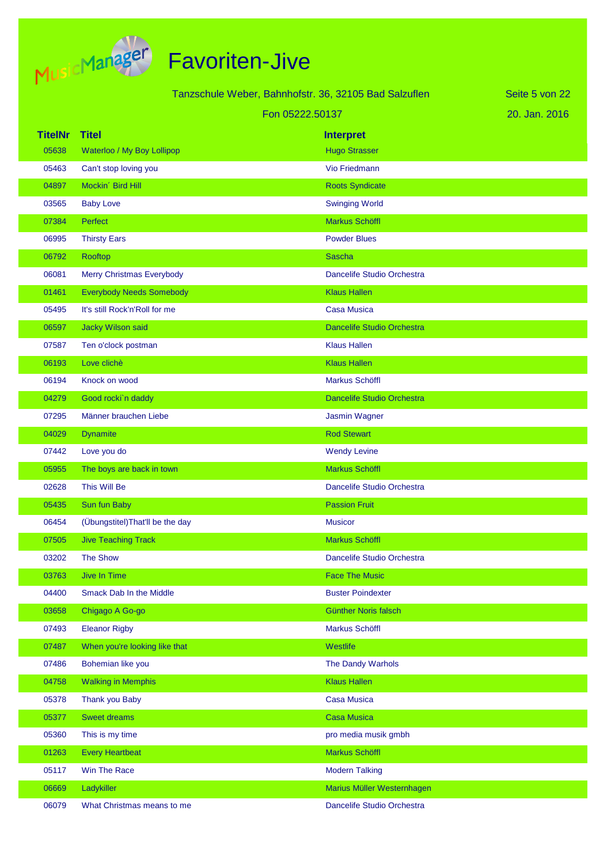

|                |                                  | Tanzschule Weber, Bahnhofstr. 36, 32105 Bad Salzuflen | Seite 5 von 22 |
|----------------|----------------------------------|-------------------------------------------------------|----------------|
|                | Fon 05222.50137                  |                                                       | 20. Jan. 2016  |
| <b>TitelNr</b> | <b>Titel</b>                     | <b>Interpret</b>                                      |                |
| 05638          | Waterloo / My Boy Lollipop       | <b>Hugo Strasser</b>                                  |                |
| 05463          | Can't stop loving you            | Vio Friedmann                                         |                |
| 04897          | Mockin' Bird Hill                | <b>Roots Syndicate</b>                                |                |
| 03565          | <b>Baby Love</b>                 | <b>Swinging World</b>                                 |                |
| 07384          | <b>Perfect</b>                   | <b>Markus Schöffl</b>                                 |                |
| 06995          | <b>Thirsty Ears</b>              | <b>Powder Blues</b>                                   |                |
| 06792          | Rooftop                          | <b>Sascha</b>                                         |                |
| 06081          | Merry Christmas Everybody        | Dancelife Studio Orchestra                            |                |
| 01461          | <b>Everybody Needs Somebody</b>  | <b>Klaus Hallen</b>                                   |                |
| 05495          | It's still Rock'n'Roll for me    | <b>Casa Musica</b>                                    |                |
| 06597          | Jacky Wilson said                | Dancelife Studio Orchestra                            |                |
| 07587          | Ten o'clock postman              | <b>Klaus Hallen</b>                                   |                |
| 06193          | Love clichè                      | <b>Klaus Hallen</b>                                   |                |
| 06194          | Knock on wood                    | Markus Schöffl                                        |                |
| 04279          | Good rocki'n daddy               | <b>Dancelife Studio Orchestra</b>                     |                |
| 07295          | Männer brauchen Liebe            | Jasmin Wagner                                         |                |
| 04029          | <b>Dynamite</b>                  | <b>Rod Stewart</b>                                    |                |
| 07442          | Love you do                      | <b>Wendy Levine</b>                                   |                |
| 05955          | The boys are back in town        | Markus Schöffl                                        |                |
| 02628          | This Will Be                     | Dancelife Studio Orchestra                            |                |
| 05435          | Sun fun Baby                     | <b>Passion Fruit</b>                                  |                |
| 06454          | (Übungstitel) That'll be the day | <b>Musicor</b>                                        |                |
| 07505          | <b>Jive Teaching Track</b>       | <b>Markus Schöffl</b>                                 |                |
| 03202          | <b>The Show</b>                  | Dancelife Studio Orchestra                            |                |
| 03763          | Jive In Time                     | <b>Face The Music</b>                                 |                |
| 04400          | Smack Dab In the Middle          | <b>Buster Poindexter</b>                              |                |
| 03658          | Chigago A Go-go                  | Günther Noris falsch                                  |                |
| 07493          | <b>Eleanor Rigby</b>             | Markus Schöffl                                        |                |
| 07487          | When you're looking like that    | Westlife                                              |                |
| 07486          | Bohemian like you                | The Dandy Warhols                                     |                |
| 04758          | <b>Walking in Memphis</b>        | <b>Klaus Hallen</b>                                   |                |
| 05378          | Thank you Baby                   | <b>Casa Musica</b>                                    |                |
| 05377          | <b>Sweet dreams</b>              | <b>Casa Musica</b>                                    |                |
| 05360          | This is my time                  | pro media musik gmbh                                  |                |
| 01263          | <b>Every Heartbeat</b>           | Markus Schöffl                                        |                |
| 05117          | Win The Race                     | <b>Modern Talking</b>                                 |                |
| 06669          | Ladykiller                       | Marius Müller Westernhagen                            |                |
| 06079          | What Christmas means to me       | Dancelife Studio Orchestra                            |                |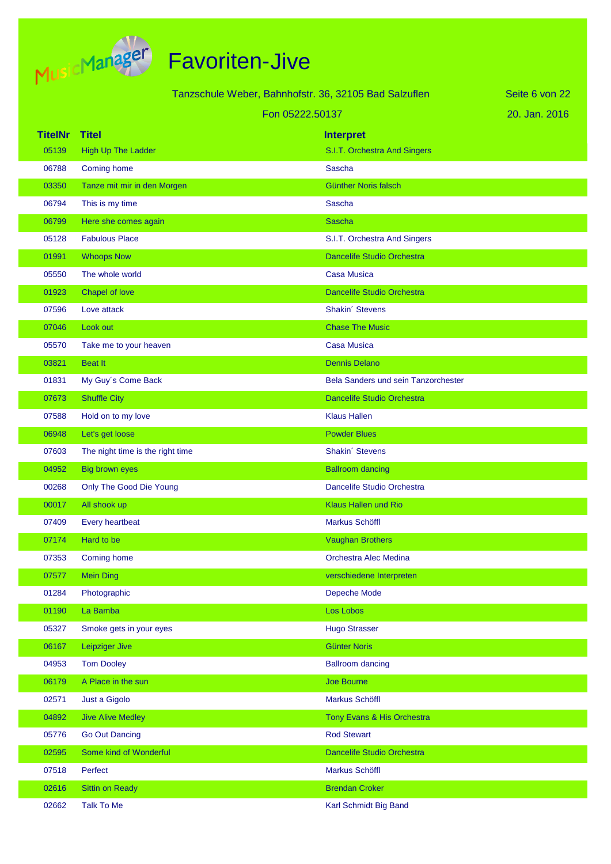

|                |                                  | Tanzschule Weber, Bahnhofstr. 36, 32105 Bad Salzuflen | Seite 6 von 22 |
|----------------|----------------------------------|-------------------------------------------------------|----------------|
|                | Fon 05222.50137                  |                                                       | 20. Jan. 2016  |
| <b>TitelNr</b> | <b>Titel</b>                     | <b>Interpret</b>                                      |                |
| 05139          | <b>High Up The Ladder</b>        | S.I.T. Orchestra And Singers                          |                |
| 06788          | Coming home                      | Sascha                                                |                |
| 03350          | Tanze mit mir in den Morgen      | <b>Günther Noris falsch</b>                           |                |
| 06794          | This is my time                  | Sascha                                                |                |
| 06799          | Here she comes again             | <b>Sascha</b>                                         |                |
| 05128          | <b>Fabulous Place</b>            | S.I.T. Orchestra And Singers                          |                |
| 01991          | <b>Whoops Now</b>                | <b>Dancelife Studio Orchestra</b>                     |                |
| 05550          | The whole world                  | <b>Casa Musica</b>                                    |                |
| 01923          | Chapel of love                   | <b>Dancelife Studio Orchestra</b>                     |                |
| 07596          | Love attack                      | Shakin' Stevens                                       |                |
| 07046          | Look out                         | <b>Chase The Music</b>                                |                |
| 05570          | Take me to your heaven           | <b>Casa Musica</b>                                    |                |
| 03821          | <b>Beat It</b>                   | <b>Dennis Delano</b>                                  |                |
| 01831          | My Guy's Come Back               | Bela Sanders und sein Tanzorchester                   |                |
| 07673          | <b>Shuffle City</b>              | <b>Dancelife Studio Orchestra</b>                     |                |
| 07588          | Hold on to my love               | <b>Klaus Hallen</b>                                   |                |
| 06948          | Let's get loose                  | <b>Powder Blues</b>                                   |                |
| 07603          | The night time is the right time | Shakin' Stevens                                       |                |
| 04952          | <b>Big brown eyes</b>            | <b>Ballroom dancing</b>                               |                |
| 00268          | Only The Good Die Young          | Dancelife Studio Orchestra                            |                |
| 00017          | All shook up                     | <b>Klaus Hallen und Rio</b>                           |                |
| 07409          | Every heartbeat                  | Markus Schöffl                                        |                |
| 07174          | Hard to be                       | <b>Vaughan Brothers</b>                               |                |
| 07353          | Coming home                      | Orchestra Alec Medina                                 |                |
| 07577          | <b>Mein Ding</b>                 | verschiedene Interpreten                              |                |
| 01284          | Photographic                     | Depeche Mode                                          |                |
| 01190          | La Bamba                         | Los Lobos                                             |                |
| 05327          | Smoke gets in your eyes          | <b>Hugo Strasser</b>                                  |                |
| 06167          | Leipziger Jive                   | <b>Günter Noris</b>                                   |                |
| 04953          | <b>Tom Dooley</b>                | <b>Ballroom dancing</b>                               |                |
| 06179          | A Place in the sun               | Joe Bourne                                            |                |
| 02571          | Just a Gigolo                    | Markus Schöffl                                        |                |
| 04892          | <b>Jive Alive Medley</b>         | Tony Evans & His Orchestra                            |                |
| 05776          | <b>Go Out Dancing</b>            | <b>Rod Stewart</b>                                    |                |
| 02595          | Some kind of Wonderful           | Dancelife Studio Orchestra                            |                |
| 07518          | Perfect                          | Markus Schöffl                                        |                |
| 02616          | <b>Sittin on Ready</b>           | <b>Brendan Croker</b>                                 |                |
| 02662          | Talk To Me                       | Karl Schmidt Big Band                                 |                |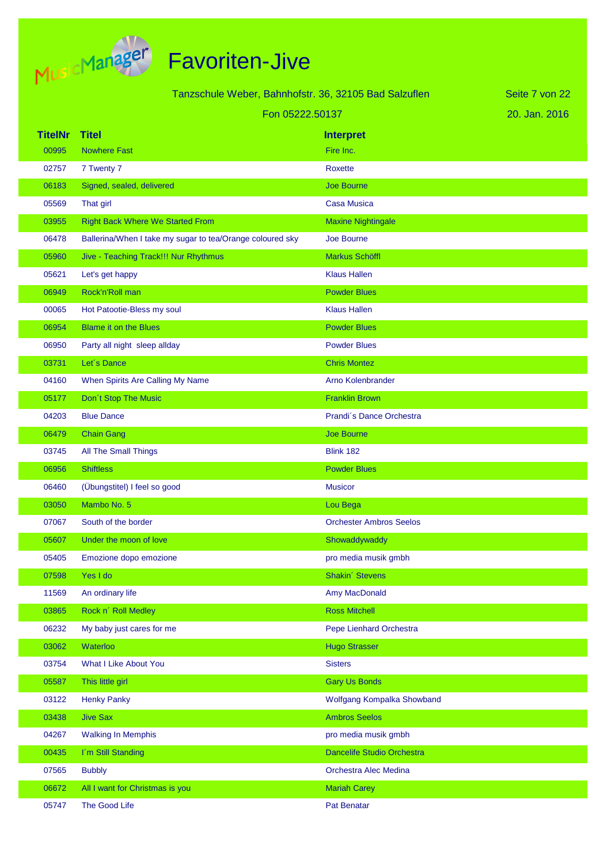

|                | Tanzschule Weber, Bahnhofstr. 36, 32105 Bad Salzuflen     |                                | Seite 7 von 22 |
|----------------|-----------------------------------------------------------|--------------------------------|----------------|
|                | Fon 05222.50137                                           |                                | 20. Jan. 2016  |
| <b>TitelNr</b> | <b>Titel</b>                                              | <b>Interpret</b>               |                |
| 00995          | <b>Nowhere Fast</b>                                       | Fire Inc.                      |                |
| 02757          | 7 Twenty 7                                                | <b>Roxette</b>                 |                |
| 06183          | Signed, sealed, delivered                                 | <b>Joe Bourne</b>              |                |
| 05569          | That girl                                                 | <b>Casa Musica</b>             |                |
| 03955          | <b>Right Back Where We Started From</b>                   | <b>Maxine Nightingale</b>      |                |
| 06478          | Ballerina/When I take my sugar to tea/Orange coloured sky | Joe Bourne                     |                |
| 05960          | Jive - Teaching Track!!! Nur Rhythmus                     | <b>Markus Schöffl</b>          |                |
| 05621          | Let's get happy                                           | <b>Klaus Hallen</b>            |                |
| 06949          | Rock'n'Roll man                                           | <b>Powder Blues</b>            |                |
| 00065          | Hot Patootie-Bless my soul                                | <b>Klaus Hallen</b>            |                |
| 06954          | <b>Blame it on the Blues</b>                              | <b>Powder Blues</b>            |                |
| 06950          | Party all night sleep allday                              | <b>Powder Blues</b>            |                |
| 03731          | Let's Dance                                               | <b>Chris Montez</b>            |                |
| 04160          | When Spirits Are Calling My Name                          | Arno Kolenbrander              |                |
| 05177          | Don't Stop The Music                                      | <b>Franklin Brown</b>          |                |
| 04203          | <b>Blue Dance</b>                                         | Prandi's Dance Orchestra       |                |
| 06479          | <b>Chain Gang</b>                                         | <b>Joe Bourne</b>              |                |
| 03745          | All The Small Things                                      | <b>Blink 182</b>               |                |
| 06956          | <b>Shiftless</b>                                          | <b>Powder Blues</b>            |                |
| 06460          | (Übungstitel) I feel so good                              | <b>Musicor</b>                 |                |
| 03050          | Mambo No. 5                                               | Lou Bega                       |                |
| 07067          | South of the border                                       | <b>Orchester Ambros Seelos</b> |                |
| 05607          | Under the moon of love                                    | Showaddywaddy                  |                |
| 05405          | Emozione dopo emozione                                    | pro media musik gmbh           |                |
| 07598          | Yes I do                                                  | Shakin' Stevens                |                |
| 11569          | An ordinary life                                          | Amy MacDonald                  |                |
| 03865          | Rock n' Roll Medley                                       | <b>Ross Mitchell</b>           |                |
| 06232          | My baby just cares for me                                 | Pepe Lienhard Orchestra        |                |
| 03062          | Waterloo                                                  | <b>Hugo Strasser</b>           |                |
| 03754          | <b>What I Like About You</b>                              | <b>Sisters</b>                 |                |
| 05587          | This little girl                                          | <b>Gary Us Bonds</b>           |                |
| 03122          | <b>Henky Panky</b>                                        | Wolfgang Kompalka Showband     |                |
| 03438          | <b>Jive Sax</b>                                           | <b>Ambros Seelos</b>           |                |
| 04267          | <b>Walking In Memphis</b>                                 | pro media musik gmbh           |                |
| 00435          | I'm Still Standing                                        | Dancelife Studio Orchestra     |                |
| 07565          | <b>Bubbly</b>                                             | Orchestra Alec Medina          |                |
| 06672          | All I want for Christmas is you                           | <b>Mariah Carey</b>            |                |
| 05747          | The Good Life                                             | Pat Benatar                    |                |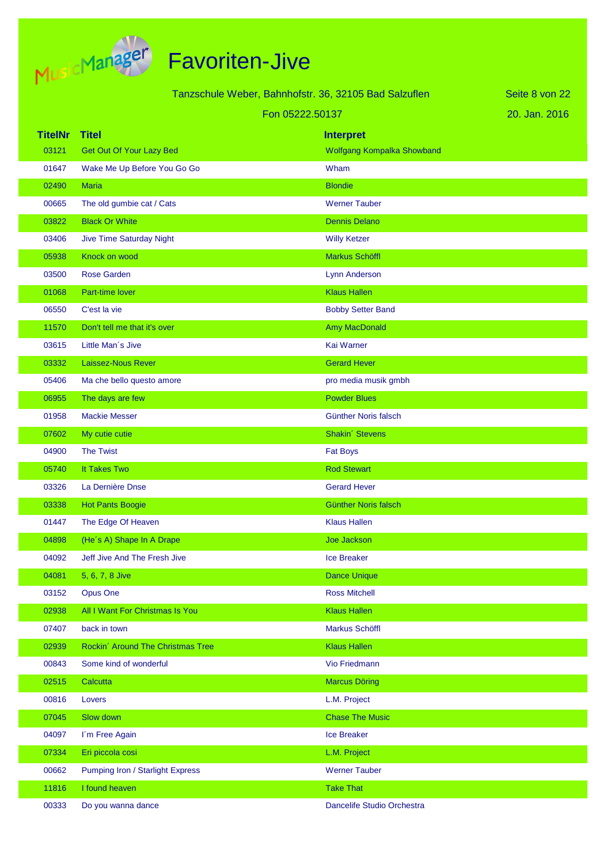

|                |                                   | Tanzschule Weber, Bahnhofstr. 36, 32105 Bad Salzuflen | Seite 8 von 22 |
|----------------|-----------------------------------|-------------------------------------------------------|----------------|
|                |                                   |                                                       |                |
|                |                                   | Fon 05222.50137                                       | 20. Jan. 2016  |
| <b>TitelNr</b> | <b>Titel</b>                      | <b>Interpret</b>                                      |                |
| 03121          | Get Out Of Your Lazy Bed          | Wolfgang Kompalka Showband                            |                |
| 01647          | Wake Me Up Before You Go Go       | Wham                                                  |                |
| 02490          | <b>Maria</b>                      | <b>Blondie</b>                                        |                |
| 00665          | The old gumbie cat / Cats         | <b>Werner Tauber</b>                                  |                |
| 03822          | <b>Black Or White</b>             | <b>Dennis Delano</b>                                  |                |
| 03406          | Jive Time Saturday Night          | <b>Willy Ketzer</b>                                   |                |
| 05938          | Knock on wood                     | <b>Markus Schöffl</b>                                 |                |
| 03500          | <b>Rose Garden</b>                | Lynn Anderson                                         |                |
| 01068          | Part-time lover                   | <b>Klaus Hallen</b>                                   |                |
| 06550          | C'est la vie                      | <b>Bobby Setter Band</b>                              |                |
| 11570          | Don't tell me that it's over      | <b>Amy MacDonald</b>                                  |                |
| 03615          | Little Man's Jive                 | Kai Warner                                            |                |
| 03332          | Laissez-Nous Rever                | <b>Gerard Hever</b>                                   |                |
| 05406          | Ma che bello questo amore         | pro media musik gmbh                                  |                |
| 06955          | The days are few                  | <b>Powder Blues</b>                                   |                |
| 01958          | <b>Mackie Messer</b>              | Günther Noris falsch                                  |                |
| 07602          | My cutie cutie                    | Shakin' Stevens                                       |                |
| 04900          | <b>The Twist</b>                  | <b>Fat Boys</b>                                       |                |
| 05740          | It Takes Two                      | <b>Rod Stewart</b>                                    |                |
| 03326          | La Dernière Dnse                  | <b>Gerard Hever</b>                                   |                |
| 03338          | <b>Hot Pants Boogie</b>           | <b>Günther Noris falsch</b>                           |                |
| 01447          | The Edge Of Heaven                | <b>Klaus Hallen</b>                                   |                |
| 04898          | (He's A) Shape In A Drape         | <b>Joe Jackson</b>                                    |                |
| 04092          | Jeff Jive And The Fresh Jive      | <b>Ice Breaker</b>                                    |                |
| 04081          | 5, 6, 7, 8 Jive                   | <b>Dance Unique</b>                                   |                |
| 03152          | <b>Opus One</b>                   | <b>Ross Mitchell</b>                                  |                |
| 02938          | All I Want For Christmas Is You   | <b>Klaus Hallen</b>                                   |                |
| 07407          | back in town                      | Markus Schöffl                                        |                |
| 02939          | Rockin' Around The Christmas Tree | <b>Klaus Hallen</b>                                   |                |
| 00843          | Some kind of wonderful            | Vio Friedmann                                         |                |
| 02515          | Calcutta                          | <b>Marcus Döring</b>                                  |                |
| 00816          | Lovers                            | L.M. Project                                          |                |
| 07045          | Slow down                         | <b>Chase The Music</b>                                |                |
| 04097          | I'm Free Again                    | <b>Ice Breaker</b>                                    |                |
| 07334          | Eri piccola cosi                  | L.M. Project                                          |                |
| 00662          | Pumping Iron / Starlight Express  | <b>Werner Tauber</b>                                  |                |
| 11816          | I found heaven                    | <b>Take That</b>                                      |                |
| 00333          | Do you wanna dance                | Dancelife Studio Orchestra                            |                |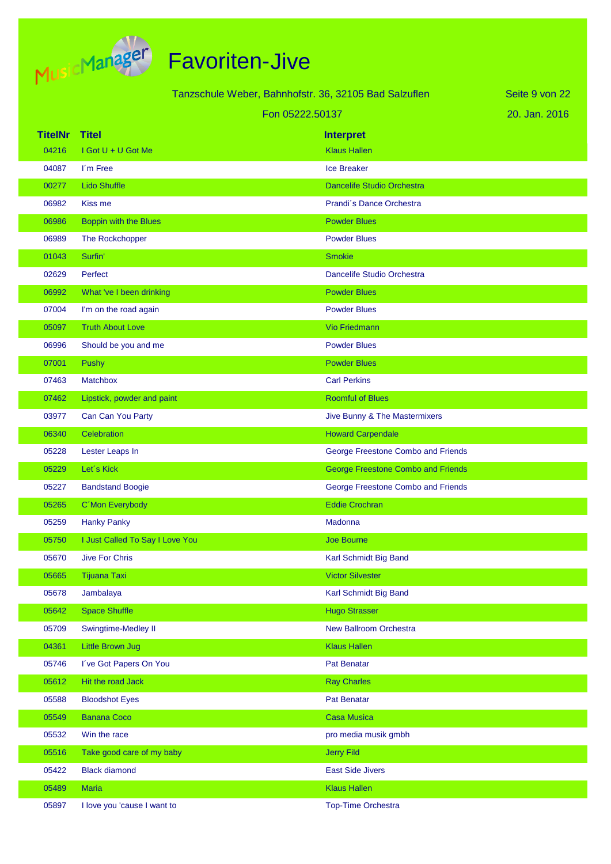

|                |                                 | Tanzschule Weber, Bahnhofstr. 36, 32105 Bad Salzuflen | Seite 9 von 22 |
|----------------|---------------------------------|-------------------------------------------------------|----------------|
|                |                                 | Fon 05222.50137                                       | 20. Jan. 2016  |
| <b>TitelNr</b> | <b>Titel</b>                    | <b>Interpret</b>                                      |                |
| 04216          | I Got U + U Got Me              | <b>Klaus Hallen</b>                                   |                |
| 04087          | I'm Free                        | <b>Ice Breaker</b>                                    |                |
| 00277          | <b>Lido Shuffle</b>             | <b>Dancelife Studio Orchestra</b>                     |                |
| 06982          | Kiss me                         | Prandi's Dance Orchestra                              |                |
| 06986          | Boppin with the Blues           | <b>Powder Blues</b>                                   |                |
| 06989          | The Rockchopper                 | <b>Powder Blues</b>                                   |                |
| 01043          | Surfin'                         | <b>Smokie</b>                                         |                |
| 02629          | Perfect                         | Dancelife Studio Orchestra                            |                |
| 06992          | What 've I been drinking        | <b>Powder Blues</b>                                   |                |
| 07004          | I'm on the road again           | <b>Powder Blues</b>                                   |                |
| 05097          | <b>Truth About Love</b>         | <b>Vio Friedmann</b>                                  |                |
| 06996          | Should be you and me            | <b>Powder Blues</b>                                   |                |
| 07001          | Pushy                           | <b>Powder Blues</b>                                   |                |
| 07463          | <b>Matchbox</b>                 | <b>Carl Perkins</b>                                   |                |
| 07462          | Lipstick, powder and paint      | <b>Roomful of Blues</b>                               |                |
| 03977          | Can Can You Party               | Jive Bunny & The Mastermixers                         |                |
| 06340          | Celebration                     | <b>Howard Carpendale</b>                              |                |
| 05228          | Lester Leaps In                 | George Freestone Combo and Friends                    |                |
| 05229          | Let's Kick                      | <b>George Freestone Combo and Friends</b>             |                |
| 05227          | <b>Bandstand Boogie</b>         | George Freestone Combo and Friends                    |                |
| 05265          | C'Mon Everybody                 | <b>Eddie Crochran</b>                                 |                |
| 05259          | <b>Hanky Panky</b>              | Madonna                                               |                |
| 05750          | I Just Called To Say I Love You | <b>Joe Bourne</b>                                     |                |
| 05670          | Jive For Chris                  | Karl Schmidt Big Band                                 |                |
| 05665          | <b>Tijuana Taxi</b>             | <b>Victor Silvester</b>                               |                |
| 05678          | Jambalaya                       | Karl Schmidt Big Band                                 |                |
| 05642          | <b>Space Shuffle</b>            | <b>Hugo Strasser</b>                                  |                |
| 05709          | Swingtime-Medley II             | <b>New Ballroom Orchestra</b>                         |                |
| 04361          | <b>Little Brown Jug</b>         | <b>Klaus Hallen</b>                                   |                |
| 05746          | I've Got Papers On You          | Pat Benatar                                           |                |
| 05612          | Hit the road Jack               | <b>Ray Charles</b>                                    |                |
| 05588          | <b>Bloodshot Eyes</b>           | Pat Benatar                                           |                |
| 05549          | <b>Banana Coco</b>              | <b>Casa Musica</b>                                    |                |
| 05532          | Win the race                    | pro media musik gmbh                                  |                |
| 05516          | Take good care of my baby       | <b>Jerry Fild</b>                                     |                |
| 05422          | <b>Black diamond</b>            | <b>East Side Jivers</b>                               |                |
| 05489          | <b>Maria</b>                    | <b>Klaus Hallen</b>                                   |                |
| 05897          | I love you 'cause I want to     | <b>Top-Time Orchestra</b>                             |                |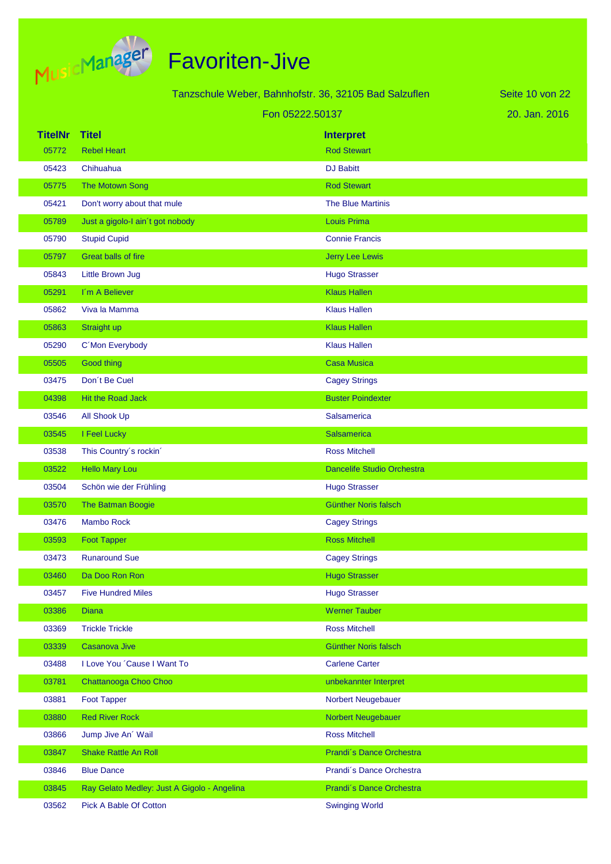

|                |                                             | Tanzschule Weber, Bahnhofstr. 36, 32105 Bad Salzuflen | Seite 10 von 22 |
|----------------|---------------------------------------------|-------------------------------------------------------|-----------------|
|                |                                             | Fon 05222.50137                                       | 20. Jan. 2016   |
| <b>TitelNr</b> | <b>Titel</b>                                | <b>Interpret</b>                                      |                 |
| 05772          | <b>Rebel Heart</b>                          | <b>Rod Stewart</b>                                    |                 |
| 05423          | Chihuahua                                   | <b>DJ Babitt</b>                                      |                 |
| 05775          | The Motown Song                             | <b>Rod Stewart</b>                                    |                 |
| 05421          | Don't worry about that mule                 | <b>The Blue Martinis</b>                              |                 |
| 05789          | Just a gigolo-I ain't got nobody            | <b>Louis Prima</b>                                    |                 |
| 05790          | <b>Stupid Cupid</b>                         | <b>Connie Francis</b>                                 |                 |
| 05797          | Great balls of fire                         | Jerry Lee Lewis                                       |                 |
| 05843          | Little Brown Jug                            | <b>Hugo Strasser</b>                                  |                 |
| 05291          | I'm A Believer                              | <b>Klaus Hallen</b>                                   |                 |
| 05862          | Viva la Mamma                               | <b>Klaus Hallen</b>                                   |                 |
| 05863          | Straight up                                 | <b>Klaus Hallen</b>                                   |                 |
| 05290          | C'Mon Everybody                             | <b>Klaus Hallen</b>                                   |                 |
| 05505          | Good thing                                  | <b>Casa Musica</b>                                    |                 |
| 03475          | Don't Be Cuel                               | <b>Cagey Strings</b>                                  |                 |
| 04398          | Hit the Road Jack                           | <b>Buster Poindexter</b>                              |                 |
| 03546          | <b>All Shook Up</b>                         | <b>Salsamerica</b>                                    |                 |
| 03545          | I Feel Lucky                                | <b>Salsamerica</b>                                    |                 |
| 03538          | This Country's rockin'                      | <b>Ross Mitchell</b>                                  |                 |
| 03522          | <b>Hello Mary Lou</b>                       | Dancelife Studio Orchestra                            |                 |
| 03504          | Schön wie der Frühling                      | <b>Hugo Strasser</b>                                  |                 |
| 03570          | The Batman Boogie                           | <b>Günther Noris falsch</b>                           |                 |
| 03476          | <b>Mambo Rock</b>                           | <b>Cagey Strings</b>                                  |                 |
| 03593          | <b>Foot Tapper</b>                          | <b>Ross Mitchell</b>                                  |                 |
| 03473          | <b>Runaround Sue</b>                        | <b>Cagey Strings</b>                                  |                 |
| 03460          | Da Doo Ron Ron                              | <b>Hugo Strasser</b>                                  |                 |
| 03457          | <b>Five Hundred Miles</b>                   | <b>Hugo Strasser</b>                                  |                 |
| 03386          | <b>Diana</b>                                | <b>Werner Tauber</b>                                  |                 |
| 03369          | <b>Trickle Trickle</b>                      | <b>Ross Mitchell</b>                                  |                 |
| 03339          | Casanova Jive                               | Günther Noris falsch                                  |                 |
| 03488          | I Love You 'Cause I Want To                 | <b>Carlene Carter</b>                                 |                 |
| 03781          | Chattanooga Choo Choo                       | unbekannter Interpret                                 |                 |
| 03881          | <b>Foot Tapper</b>                          | Norbert Neugebauer                                    |                 |
| 03880          | <b>Red River Rock</b>                       | Norbert Neugebauer                                    |                 |
| 03866          | Jump Jive An' Wail                          | <b>Ross Mitchell</b>                                  |                 |
| 03847          | <b>Shake Rattle An Roll</b>                 | Prandi's Dance Orchestra                              |                 |
| 03846          | <b>Blue Dance</b>                           | Prandi's Dance Orchestra                              |                 |
| 03845          | Ray Gelato Medley: Just A Gigolo - Angelina | Prandi's Dance Orchestra                              |                 |
| 03562          | Pick A Bable Of Cotton                      | <b>Swinging World</b>                                 |                 |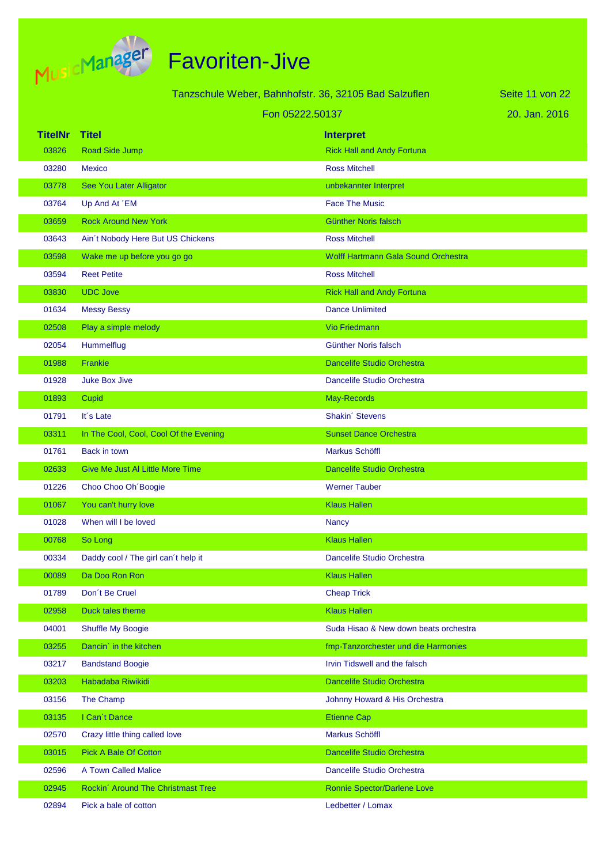

|                |                                         | Tanzschule Weber, Bahnhofstr. 36, 32105 Bad Salzuflen | Seite 11 von 22 |
|----------------|-----------------------------------------|-------------------------------------------------------|-----------------|
|                |                                         | Fon 05222.50137                                       | 20. Jan. 2016   |
| <b>TitelNr</b> | <b>Titel</b>                            | <b>Interpret</b>                                      |                 |
| 03826          | Road Side Jump                          | <b>Rick Hall and Andy Fortuna</b>                     |                 |
| 03280          | <b>Mexico</b>                           | <b>Ross Mitchell</b>                                  |                 |
| 03778          | See You Later Alligator                 | unbekannter Interpret                                 |                 |
| 03764          | Up And At 'EM                           | <b>Face The Music</b>                                 |                 |
| 03659          | <b>Rock Around New York</b>             | <b>Günther Noris falsch</b>                           |                 |
| 03643          | Ain't Nobody Here But US Chickens       | <b>Ross Mitchell</b>                                  |                 |
| 03598          | Wake me up before you go go             | <b>Wolff Hartmann Gala Sound Orchestra</b>            |                 |
| 03594          | <b>Reet Petite</b>                      | <b>Ross Mitchell</b>                                  |                 |
| 03830          | <b>UDC Jove</b>                         | <b>Rick Hall and Andy Fortuna</b>                     |                 |
| 01634          | <b>Messy Bessy</b>                      | <b>Dance Unlimited</b>                                |                 |
| 02508          | Play a simple melody                    | <b>Vio Friedmann</b>                                  |                 |
| 02054          | Hummelflug                              | <b>Günther Noris falsch</b>                           |                 |
| 01988          | Frankie                                 | <b>Dancelife Studio Orchestra</b>                     |                 |
| 01928          | <b>Juke Box Jive</b>                    | Dancelife Studio Orchestra                            |                 |
| 01893          | Cupid                                   | May-Records                                           |                 |
| 01791          | It's Late                               | Shakin' Stevens                                       |                 |
| 03311          | In The Cool, Cool, Cool Of the Evening  | <b>Sunset Dance Orchestra</b>                         |                 |
| 01761          | Back in town                            | Markus Schöffl                                        |                 |
| 02633          | <b>Give Me Just AI Little More Time</b> | <b>Dancelife Studio Orchestra</b>                     |                 |
| 01226          | Choo Choo Oh Boogie                     | <b>Werner Tauber</b>                                  |                 |
| 01067          | You can't hurry love                    | <b>Klaus Hallen</b>                                   |                 |
| 01028          | When will I be loved                    | <b>Nancy</b>                                          |                 |
| 00768          | So Long                                 | <b>Klaus Hallen</b>                                   |                 |
| 00334          | Daddy cool / The girl can't help it     | Dancelife Studio Orchestra                            |                 |
| 00089          | Da Doo Ron Ron                          | <b>Klaus Hallen</b>                                   |                 |
| 01789          | Don't Be Cruel                          | <b>Cheap Trick</b>                                    |                 |
| 02958          | Duck tales theme                        | <b>Klaus Hallen</b>                                   |                 |
| 04001          | Shuffle My Boogie                       | Suda Hisao & New down beats orchestra                 |                 |
| 03255          | Dancin' in the kitchen                  | fmp-Tanzorchester und die Harmonies                   |                 |
| 03217          | <b>Bandstand Boogie</b>                 | Irvin Tidswell and the falsch                         |                 |
| 03203          | Habadaba Riwikidi                       | Dancelife Studio Orchestra                            |                 |
| 03156          | The Champ                               | Johnny Howard & His Orchestra                         |                 |
| 03135          | I Can't Dance                           | <b>Etienne Cap</b>                                    |                 |
| 02570          | Crazy little thing called love          | Markus Schöffl                                        |                 |
| 03015          | <b>Pick A Bale Of Cotton</b>            | Dancelife Studio Orchestra                            |                 |
| 02596          | A Town Called Malice                    | Dancelife Studio Orchestra                            |                 |
| 02945          | Rockin' Around The Christmast Tree      | <b>Ronnie Spector/Darlene Love</b>                    |                 |
| 02894          | Pick a bale of cotton                   | Ledbetter / Lomax                                     |                 |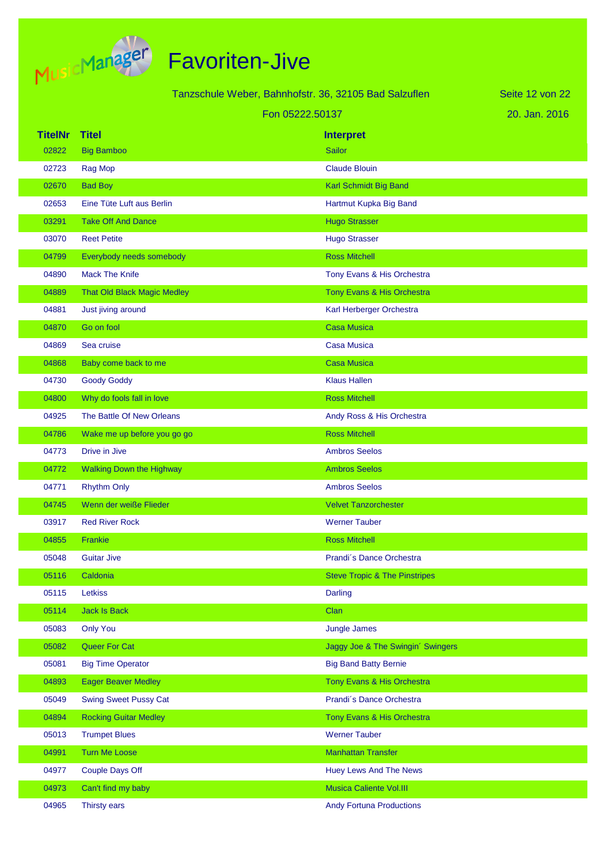

|                |                                    | Tanzschule Weber, Bahnhofstr. 36, 32105 Bad Salzuflen | Seite 12 von 22 |
|----------------|------------------------------------|-------------------------------------------------------|-----------------|
|                |                                    |                                                       |                 |
|                |                                    | Fon 05222.50137                                       | 20. Jan. 2016   |
| <b>TitelNr</b> | <b>Titel</b>                       | <b>Interpret</b>                                      |                 |
| 02822          | <b>Big Bamboo</b>                  | <b>Sailor</b>                                         |                 |
| 02723          | Rag Mop                            | <b>Claude Blouin</b>                                  |                 |
| 02670          | <b>Bad Boy</b>                     | Karl Schmidt Big Band                                 |                 |
| 02653          | Eine Tüte Luft aus Berlin          | Hartmut Kupka Big Band                                |                 |
| 03291          | <b>Take Off And Dance</b>          | <b>Hugo Strasser</b>                                  |                 |
| 03070          | <b>Reet Petite</b>                 | <b>Hugo Strasser</b>                                  |                 |
| 04799          | Everybody needs somebody           | <b>Ross Mitchell</b>                                  |                 |
| 04890          | <b>Mack The Knife</b>              | Tony Evans & His Orchestra                            |                 |
| 04889          | <b>That Old Black Magic Medley</b> | Tony Evans & His Orchestra                            |                 |
| 04881          | Just jiving around                 | Karl Herberger Orchestra                              |                 |
| 04870          | Go on fool                         | <b>Casa Musica</b>                                    |                 |
| 04869          | Sea cruise                         | <b>Casa Musica</b>                                    |                 |
| 04868          | Baby come back to me               | <b>Casa Musica</b>                                    |                 |
| 04730          | <b>Goody Goddy</b>                 | <b>Klaus Hallen</b>                                   |                 |
| 04800          | Why do fools fall in love          | <b>Ross Mitchell</b>                                  |                 |
| 04925          | The Battle Of New Orleans          | Andy Ross & His Orchestra                             |                 |
| 04786          | Wake me up before you go go        | <b>Ross Mitchell</b>                                  |                 |
| 04773          | Drive in Jive                      | <b>Ambros Seelos</b>                                  |                 |
| 04772          | <b>Walking Down the Highway</b>    | <b>Ambros Seelos</b>                                  |                 |
| 04771          | <b>Rhythm Only</b>                 | <b>Ambros Seelos</b>                                  |                 |
| 04745          | Wenn der weiße Flieder             | <b>Velvet Tanzorchester</b>                           |                 |
| 03917          | <b>Red River Rock</b>              | <b>Werner Tauber</b>                                  |                 |
| 04855          | Frankie                            | <b>Ross Mitchell</b>                                  |                 |
| 05048          | <b>Guitar Jive</b>                 | Prandi's Dance Orchestra                              |                 |
| 05116          | Caldonia                           | <b>Steve Tropic &amp; The Pinstripes</b>              |                 |
| 05115          | Letkiss                            | <b>Darling</b>                                        |                 |
| 05114          | <b>Jack Is Back</b>                | Clan                                                  |                 |
| 05083          | <b>Only You</b>                    | <b>Jungle James</b>                                   |                 |
| 05082          | Queer For Cat                      | Jaggy Joe & The Swingin' Swingers                     |                 |
| 05081          | <b>Big Time Operator</b>           | <b>Big Band Batty Bernie</b>                          |                 |
| 04893          | <b>Eager Beaver Medley</b>         | Tony Evans & His Orchestra                            |                 |
| 05049          | <b>Swing Sweet Pussy Cat</b>       | Prandi's Dance Orchestra                              |                 |
| 04894          | <b>Rocking Guitar Medley</b>       | Tony Evans & His Orchestra                            |                 |
| 05013          | <b>Trumpet Blues</b>               | <b>Werner Tauber</b>                                  |                 |
| 04991          | <b>Turn Me Loose</b>               | <b>Manhattan Transfer</b>                             |                 |
| 04977          | <b>Couple Days Off</b>             | <b>Huey Lews And The News</b>                         |                 |
| 04973          | Can't find my baby                 | <b>Musica Caliente Vol.III</b>                        |                 |
| 04965          | Thirsty ears                       | <b>Andy Fortuna Productions</b>                       |                 |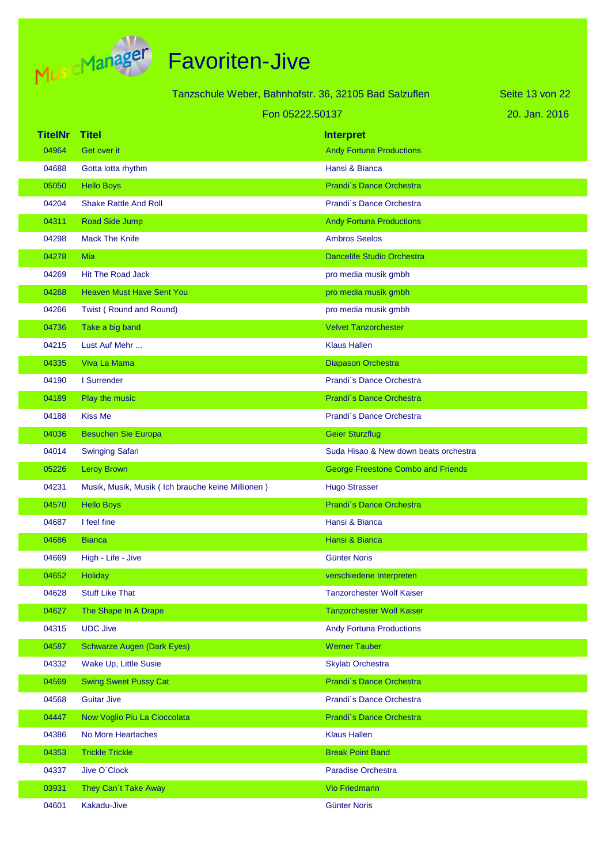

|                | Tanzschule Weber, Bahnhofstr. 36, 32105 Bad Salzuflen |                                       | Seite 13 von 22 |
|----------------|-------------------------------------------------------|---------------------------------------|-----------------|
|                | Fon 05222.50137                                       |                                       | 20. Jan. 2016   |
| <b>TitelNr</b> | Titel                                                 | <b>Interpret</b>                      |                 |
| 04964          | Get over it                                           | <b>Andy Fortuna Productions</b>       |                 |
| 04688          | Gotta lotta rhythm                                    | Hansi & Bianca                        |                 |
| 05050          | <b>Hello Boys</b>                                     | Prandi's Dance Orchestra              |                 |
| 04204          | <b>Shake Rattle And Roll</b>                          | Prandi's Dance Orchestra              |                 |
| 04311          | Road Side Jump                                        | <b>Andy Fortuna Productions</b>       |                 |
| 04298          | <b>Mack The Knife</b>                                 | <b>Ambros Seelos</b>                  |                 |
| 04278          | Mia                                                   | <b>Dancelife Studio Orchestra</b>     |                 |
| 04269          | <b>Hit The Road Jack</b>                              | pro media musik gmbh                  |                 |
| 04268          | <b>Heaven Must Have Sent You</b>                      | pro media musik gmbh                  |                 |
| 04266          | Twist (Round and Round)                               | pro media musik gmbh                  |                 |
| 04736          | Take a big band                                       | <b>Velvet Tanzorchester</b>           |                 |
| 04215          | Lust Auf Mehr                                         | <b>Klaus Hallen</b>                   |                 |
| 04335          | Viva La Mama                                          | Diapason Orchestra                    |                 |
| 04190          | I Surrender                                           | Prandi's Dance Orchestra              |                 |
| 04189          | Play the music                                        | Prandi's Dance Orchestra              |                 |
| 04188          | <b>Kiss Me</b>                                        | Prandi's Dance Orchestra              |                 |
| 04036          | <b>Besuchen Sie Europa</b>                            | <b>Geier Sturzflug</b>                |                 |
| 04014          | <b>Swinging Safari</b>                                | Suda Hisao & New down beats orchestra |                 |
| 05226          | <b>Leroy Brown</b>                                    | George Freestone Combo and Friends    |                 |
| 04231          | Musik, Musik, Musik (Ich brauche keine Millionen)     | <b>Hugo Strasser</b>                  |                 |
| 04570          | <b>Hello Boys</b>                                     | Prandi's Dance Orchestra              |                 |
| 04687          | I feel fine                                           | Hansi & Bianca                        |                 |
| 04686          | <b>Bianca</b>                                         | Hansi & Bianca                        |                 |
| 04669          | High - Life - Jive                                    | <b>Günter Noris</b>                   |                 |
| 04652          | Holiday                                               | verschiedene Interpreten              |                 |
| 04628          | <b>Stuff Like That</b>                                | <b>Tanzorchester Wolf Kaiser</b>      |                 |
| 04627          | The Shape In A Drape                                  | <b>Tanzorchester Wolf Kaiser</b>      |                 |
| 04315          | <b>UDC Jive</b>                                       | <b>Andy Fortuna Productions</b>       |                 |
| 04587          | <b>Schwarze Augen (Dark Eyes)</b>                     | <b>Werner Tauber</b>                  |                 |
| 04332          | Wake Up, Little Susie                                 | <b>Skylab Orchestra</b>               |                 |
| 04569          | <b>Swing Sweet Pussy Cat</b>                          | Prandi's Dance Orchestra              |                 |
| 04568          | <b>Guitar Jive</b>                                    | Prandi's Dance Orchestra              |                 |
| 04447          | Now Voglio Piu La Cioccolata                          | Prandi's Dance Orchestra              |                 |
| 04386          | No More Heartaches                                    | <b>Klaus Hallen</b>                   |                 |
| 04353          | <b>Trickle Trickle</b>                                | <b>Break Point Band</b>               |                 |
| 04337          | Jive O'Clock                                          | <b>Paradise Orchestra</b>             |                 |
| 03931          | They Can't Take Away                                  | Vio Friedmann                         |                 |
| 04601          | Kakadu-Jive                                           | <b>Günter Noris</b>                   |                 |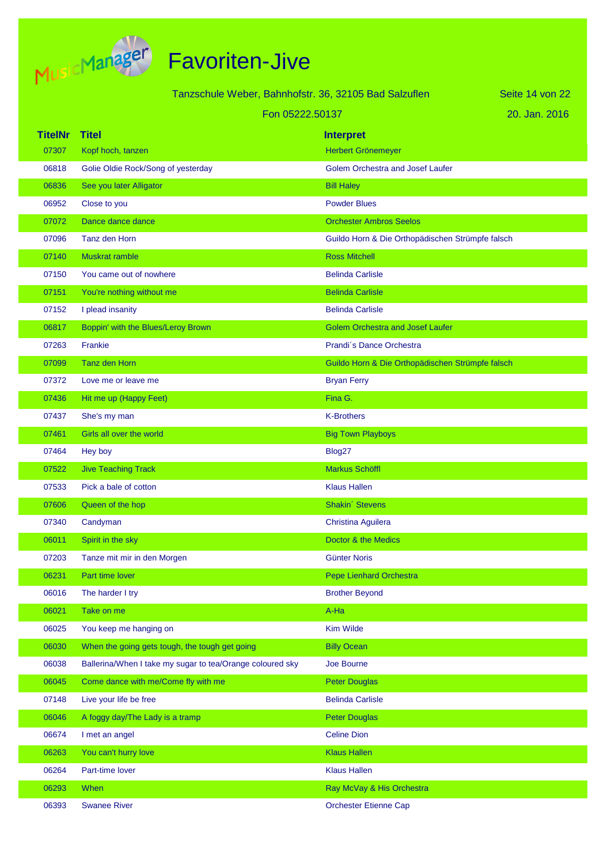

| Tanzschule Weber, Bahnhofstr. 36, 32105 Bad Salzuflen |  |
|-------------------------------------------------------|--|
|-------------------------------------------------------|--|

Seite 14 von 22

#### Fon 05222.50137

| 20. Jan. 2016 |  |
|---------------|--|
|---------------|--|

| <b>TitelNr</b> | <b>Titel</b>                                              | <b>Interpret</b>                                 |
|----------------|-----------------------------------------------------------|--------------------------------------------------|
| 07307          | Kopf hoch, tanzen                                         | Herbert Grönemeyer                               |
| 06818          | Golie Oldie Rock/Song of yesterday                        | Golem Orchestra and Josef Laufer                 |
| 06836          | See you later Alligator                                   | <b>Bill Haley</b>                                |
| 06952          | Close to you                                              | <b>Powder Blues</b>                              |
| 07072          | Dance dance dance                                         | <b>Orchester Ambros Seelos</b>                   |
| 07096          | Tanz den Horn                                             | Guildo Horn & Die Orthopädischen Strümpfe falsch |
| 07140          | <b>Muskrat ramble</b>                                     | <b>Ross Mitchell</b>                             |
| 07150          | You came out of nowhere                                   | <b>Belinda Carlisle</b>                          |
| 07151          | You're nothing without me                                 | <b>Belinda Carlisle</b>                          |
| 07152          | I plead insanity                                          | <b>Belinda Carlisle</b>                          |
| 06817          | Boppin' with the Blues/Leroy Brown                        | <b>Golem Orchestra and Josef Laufer</b>          |
| 07263          | Frankie                                                   | Prandi's Dance Orchestra                         |
| 07099          | Tanz den Horn                                             | Guildo Horn & Die Orthopädischen Strümpfe falsch |
| 07372          | Love me or leave me                                       | <b>Bryan Ferry</b>                               |
| 07436          | Hit me up (Happy Feet)                                    | Fina G.                                          |
| 07437          | She's my man                                              | <b>K-Brothers</b>                                |
| 07461          | Girls all over the world                                  | <b>Big Town Playboys</b>                         |
| 07464          | Hey boy                                                   | Blog27                                           |
| 07522          | <b>Jive Teaching Track</b>                                | Markus Schöffl                                   |
| 07533          | Pick a bale of cotton                                     | <b>Klaus Hallen</b>                              |
| 07606          | Queen of the hop                                          | Shakin' Stevens                                  |
| 07340          | Candyman                                                  | Christina Aguilera                               |
| 06011          | Spirit in the sky                                         | Doctor & the Medics                              |
| 07203          | Tanze mit mir in den Morgen                               | <b>Günter Noris</b>                              |
| 06231          | Part time lover                                           | Pepe Lienhard Orchestra                          |
| 06016          | The harder I try                                          | <b>Brother Beyond</b>                            |
| 06021          | Take on me                                                | A-Ha                                             |
| 06025          | You keep me hanging on                                    | <b>Kim Wilde</b>                                 |
| 06030          | When the going gets tough, the tough get going            | <b>Billy Ocean</b>                               |
| 06038          | Ballerina/When I take my sugar to tea/Orange coloured sky | Joe Bourne                                       |
| 06045          | Come dance with me/Come fly with me                       | <b>Peter Douglas</b>                             |
| 07148          | Live your life be free                                    | <b>Belinda Carlisle</b>                          |
| 06046          | A foggy day/The Lady is a tramp                           | <b>Peter Douglas</b>                             |
| 06674          | I met an angel                                            | <b>Celine Dion</b>                               |
| 06263          | You can't hurry love                                      | <b>Klaus Hallen</b>                              |
| 06264          | Part-time lover                                           | <b>Klaus Hallen</b>                              |
| 06293          | When                                                      | Ray McVay & His Orchestra                        |
| 06393          | <b>Swanee River</b>                                       | <b>Orchester Etienne Cap</b>                     |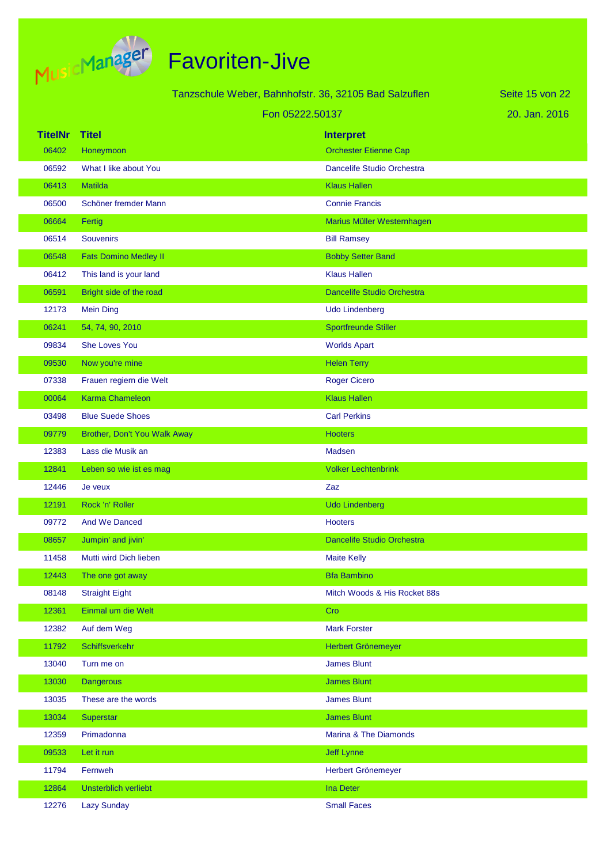

|                | Tanzschule Weber, Bahnhofstr. 36, 32105 Bad Salzuflen |                 |                                   | Seite 15 von 22 |
|----------------|-------------------------------------------------------|-----------------|-----------------------------------|-----------------|
|                |                                                       | Fon 05222.50137 |                                   | 20. Jan. 2016   |
| <b>TitelNr</b> | <b>Titel</b>                                          |                 | <b>Interpret</b>                  |                 |
| 06402          | Honeymoon                                             |                 | <b>Orchester Etienne Cap</b>      |                 |
| 06592          | What I like about You                                 |                 | Dancelife Studio Orchestra        |                 |
| 06413          | Matilda                                               |                 | <b>Klaus Hallen</b>               |                 |
| 06500          | Schöner fremder Mann                                  |                 | <b>Connie Francis</b>             |                 |
| 06664          | Fertig                                                |                 | Marius Müller Westernhagen        |                 |
| 06514          | <b>Souvenirs</b>                                      |                 | <b>Bill Ramsey</b>                |                 |
| 06548          | <b>Fats Domino Medley II</b>                          |                 | <b>Bobby Setter Band</b>          |                 |
| 06412          | This land is your land                                |                 | <b>Klaus Hallen</b>               |                 |
| 06591          | Bright side of the road                               |                 | <b>Dancelife Studio Orchestra</b> |                 |
| 12173          | <b>Mein Ding</b>                                      |                 | <b>Udo Lindenberg</b>             |                 |
| 06241          | 54, 74, 90, 2010                                      |                 | <b>Sportfreunde Stiller</b>       |                 |
| 09834          | <b>She Loves You</b>                                  |                 | <b>Worlds Apart</b>               |                 |
| 09530          | Now you're mine                                       |                 | <b>Helen Terry</b>                |                 |
| 07338          | Frauen regiern die Welt                               |                 | <b>Roger Cicero</b>               |                 |
| 00064          | <b>Karma Chameleon</b>                                |                 | <b>Klaus Hallen</b>               |                 |
| 03498          | <b>Blue Suede Shoes</b>                               |                 | <b>Carl Perkins</b>               |                 |
| 09779          | Brother, Don't You Walk Away                          |                 | <b>Hooters</b>                    |                 |
| 12383          | Lass die Musik an                                     |                 | Madsen                            |                 |
| 12841          | Leben so wie ist es mag                               |                 | <b>Volker Lechtenbrink</b>        |                 |
| 12446          | Je veux                                               |                 | Zaz                               |                 |
| 12191          | Rock 'n' Roller                                       |                 | <b>Udo Lindenberg</b>             |                 |
| 09772          | <b>And We Danced</b>                                  |                 | <b>Hooters</b>                    |                 |
| 08657          | Jumpin' and jivin'                                    |                 | <b>Dancelife Studio Orchestra</b> |                 |
| 11458          | Mutti wird Dich lieben                                |                 | <b>Maite Kelly</b>                |                 |
| 12443          | The one got away                                      |                 | <b>Bfa Bambino</b>                |                 |
| 08148          | <b>Straight Eight</b>                                 |                 | Mitch Woods & His Rocket 88s      |                 |
| 12361          | Einmal um die Welt                                    |                 | Cro                               |                 |
| 12382          | Auf dem Weg                                           |                 | <b>Mark Forster</b>               |                 |
| 11792          | Schiffsverkehr                                        |                 | Herbert Grönemeyer                |                 |
| 13040          | Turn me on                                            |                 | <b>James Blunt</b>                |                 |
| 13030          | <b>Dangerous</b>                                      |                 | <b>James Blunt</b>                |                 |
| 13035          | These are the words                                   |                 | <b>James Blunt</b>                |                 |
| 13034          | Superstar                                             |                 | <b>James Blunt</b>                |                 |
| 12359          | Primadonna                                            |                 | Marina & The Diamonds             |                 |
| 09533          | Let it run                                            |                 | <b>Jeff Lynne</b>                 |                 |
| 11794          | Fernweh                                               |                 | Herbert Grönemeyer                |                 |
| 12864          | Unsterblich verliebt                                  |                 | <b>Ina Deter</b>                  |                 |
| 12276          | <b>Lazy Sunday</b>                                    |                 | <b>Small Faces</b>                |                 |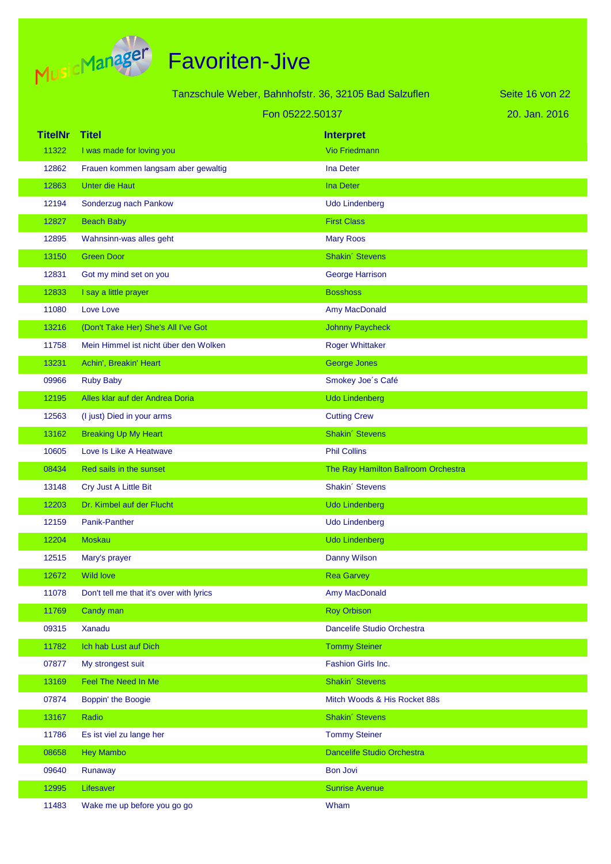

|                         |                                           | Tanzschule Weber, Bahnhofstr. 36, 32105 Bad Salzuflen | Seite 16 von 22 |
|-------------------------|-------------------------------------------|-------------------------------------------------------|-----------------|
|                         | Fon 05222.50137                           |                                                       | 20. Jan. 2016   |
|                         |                                           |                                                       |                 |
| <b>TitelNr</b><br>11322 | <b>Titel</b><br>I was made for loving you | <b>Interpret</b><br><b>Vio Friedmann</b>              |                 |
| 12862                   | Frauen kommen langsam aber gewaltig       | <b>Ina Deter</b>                                      |                 |
| 12863                   | <b>Unter die Haut</b>                     | <b>Ina Deter</b>                                      |                 |
| 12194                   | Sonderzug nach Pankow                     | <b>Udo Lindenberg</b>                                 |                 |
| 12827                   | <b>Beach Baby</b>                         | <b>First Class</b>                                    |                 |
| 12895                   | Wahnsinn-was alles geht                   | <b>Mary Roos</b>                                      |                 |
| 13150                   | <b>Green Door</b>                         | Shakin' Stevens                                       |                 |
| 12831                   | Got my mind set on you                    | <b>George Harrison</b>                                |                 |
| 12833                   | I say a little prayer                     | <b>Bosshoss</b>                                       |                 |
| 11080                   | Love Love                                 | Amy MacDonald                                         |                 |
| 13216                   | (Don't Take Her) She's All I've Got       | <b>Johnny Paycheck</b>                                |                 |
| 11758                   | Mein Himmel ist nicht über den Wolken     | <b>Roger Whittaker</b>                                |                 |
| 13231                   | Achin', Breakin' Heart                    | George Jones                                          |                 |
| 09966                   | <b>Ruby Baby</b>                          | Smokey Joe's Café                                     |                 |
| 12195                   | Alles klar auf der Andrea Doria           | <b>Udo Lindenberg</b>                                 |                 |
| 12563                   | (I just) Died in your arms                | <b>Cutting Crew</b>                                   |                 |
| 13162                   | <b>Breaking Up My Heart</b>               | Shakin' Stevens                                       |                 |
| 10605                   | Love Is Like A Heatwave                   | <b>Phil Collins</b>                                   |                 |
| 08434                   | Red sails in the sunset                   | The Ray Hamilton Ballroom Orchestra                   |                 |
| 13148                   | Cry Just A Little Bit                     | Shakin' Stevens                                       |                 |
| 12203                   | Dr. Kimbel auf der Flucht                 | <b>Udo Lindenberg</b>                                 |                 |
| 12159                   | Panik-Panther                             | <b>Udo Lindenberg</b>                                 |                 |
| 12204                   | <b>Moskau</b>                             | <b>Udo Lindenberg</b>                                 |                 |
| 12515                   | Mary's prayer                             | Danny Wilson                                          |                 |
| 12672                   | <b>Wild love</b>                          | <b>Rea Garvey</b>                                     |                 |
| 11078                   | Don't tell me that it's over with lyrics  | Amy MacDonald                                         |                 |
| 11769                   | Candy man                                 | <b>Roy Orbison</b>                                    |                 |
| 09315                   | Xanadu                                    | Dancelife Studio Orchestra                            |                 |
| 11782                   | Ich hab Lust auf Dich                     | <b>Tommy Steiner</b>                                  |                 |
| 07877                   | My strongest suit                         | Fashion Girls Inc.                                    |                 |
| 13169                   | Feel The Need In Me                       | Shakin' Stevens                                       |                 |
| 07874                   | Boppin' the Boogie                        | Mitch Woods & His Rocket 88s                          |                 |
| 13167                   | Radio                                     | Shakin' Stevens                                       |                 |
| 11786                   | Es ist viel zu lange her                  | <b>Tommy Steiner</b>                                  |                 |
| 08658                   | <b>Hey Mambo</b>                          | Dancelife Studio Orchestra                            |                 |
| 09640                   | Runaway                                   | <b>Bon Jovi</b>                                       |                 |
| 12995                   | Lifesaver                                 | <b>Sunrise Avenue</b>                                 |                 |
| 11483                   | Wake me up before you go go               | Wham                                                  |                 |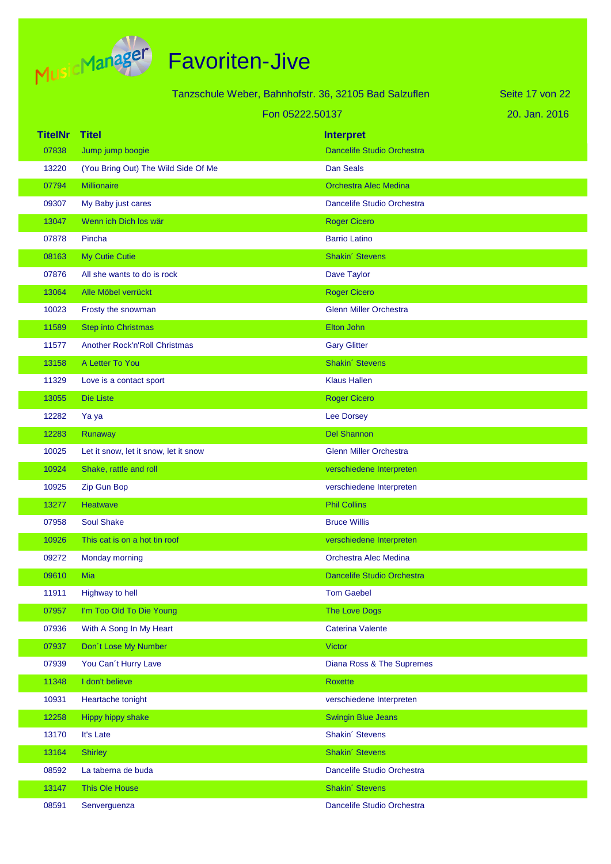

|                |                                       | Tanzschule Weber, Bahnhofstr. 36, 32105 Bad Salzuflen | Seite 17 von 22 |
|----------------|---------------------------------------|-------------------------------------------------------|-----------------|
|                |                                       | Fon 05222.50137                                       | 20. Jan. 2016   |
| <b>TitelNr</b> | <b>Titel</b>                          | <b>Interpret</b>                                      |                 |
| 07838          | Jump jump boogie                      | <b>Dancelife Studio Orchestra</b>                     |                 |
| 13220          | (You Bring Out) The Wild Side Of Me   | <b>Dan Seals</b>                                      |                 |
| 07794          | <b>Millionaire</b>                    | <b>Orchestra Alec Medina</b>                          |                 |
| 09307          | My Baby just cares                    | Dancelife Studio Orchestra                            |                 |
| 13047          | Wenn ich Dich los wär                 | <b>Roger Cicero</b>                                   |                 |
| 07878          | Pincha                                | <b>Barrio Latino</b>                                  |                 |
| 08163          | My Cutie Cutie                        | Shakin' Stevens                                       |                 |
| 07876          | All she wants to do is rock           | Dave Taylor                                           |                 |
| 13064          | Alle Möbel verrückt                   | <b>Roger Cicero</b>                                   |                 |
| 10023          | Frosty the snowman                    | <b>Glenn Miller Orchestra</b>                         |                 |
| 11589          | <b>Step into Christmas</b>            | Elton John                                            |                 |
| 11577          | <b>Another Rock'n'Roll Christmas</b>  | <b>Gary Glitter</b>                                   |                 |
| 13158          | A Letter To You                       | Shakin' Stevens                                       |                 |
| 11329          | Love is a contact sport               | <b>Klaus Hallen</b>                                   |                 |
| 13055          | <b>Die Liste</b>                      | <b>Roger Cicero</b>                                   |                 |
| 12282          | Ya ya                                 | Lee Dorsey                                            |                 |
| 12283          | Runaway                               | <b>Del Shannon</b>                                    |                 |
| 10025          | Let it snow, let it snow, let it snow | <b>Glenn Miller Orchestra</b>                         |                 |
| 10924          | Shake, rattle and roll                | verschiedene Interpreten                              |                 |
| 10925          | Zip Gun Bop                           | verschiedene Interpreten                              |                 |
| 13277          | Heatwave                              | <b>Phil Collins</b>                                   |                 |
| 07958          | <b>Soul Shake</b>                     | <b>Bruce Willis</b>                                   |                 |
| 10926          | This cat is on a hot tin roof         | verschiedene Interpreten                              |                 |
| 09272          | Monday morning                        | Orchestra Alec Medina                                 |                 |
| 09610          | Mia                                   | Dancelife Studio Orchestra                            |                 |
| 11911          | Highway to hell                       | <b>Tom Gaebel</b>                                     |                 |
| 07957          | I'm Too Old To Die Young              | The Love Dogs                                         |                 |
| 07936          | With A Song In My Heart               | <b>Caterina Valente</b>                               |                 |
| 07937          | Don't Lose My Number                  | <b>Victor</b>                                         |                 |
| 07939          | You Can't Hurry Lave                  | Diana Ross & The Supremes                             |                 |
| 11348          | I don't believe                       | Roxette                                               |                 |
| 10931          | Heartache tonight                     | verschiedene Interpreten                              |                 |
| 12258          | Hippy hippy shake                     | <b>Swingin Blue Jeans</b>                             |                 |
| 13170          | It's Late                             | Shakin' Stevens                                       |                 |
| 13164          | <b>Shirley</b>                        | Shakin' Stevens                                       |                 |
| 08592          | La taberna de buda                    | Dancelife Studio Orchestra                            |                 |
| 13147          | This Ole House                        | Shakin' Stevens                                       |                 |
| 08591          | Senverguenza                          | Dancelife Studio Orchestra                            |                 |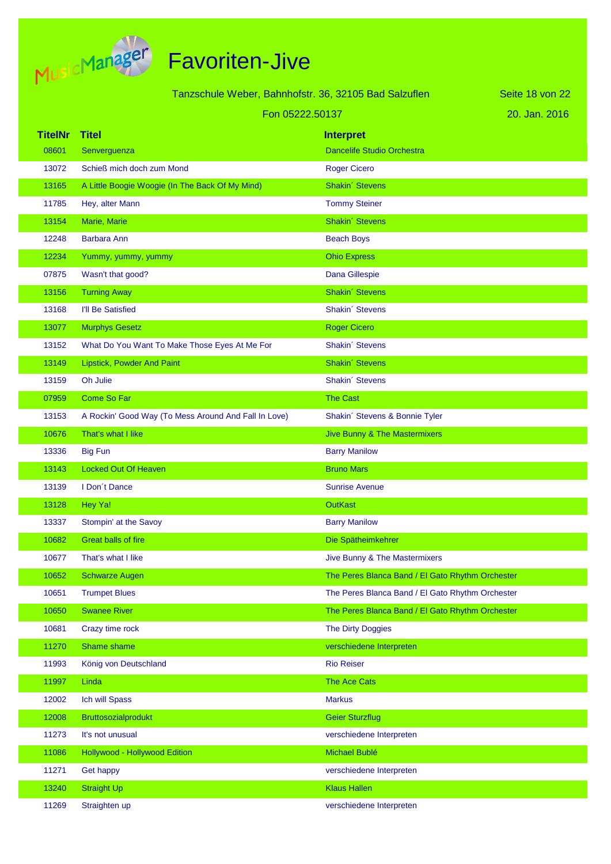

|                | Tanzschule Weber, Bahnhofstr. 36, 32105 Bad Salzuflen |                                                  | Seite 18 von 22 |
|----------------|-------------------------------------------------------|--------------------------------------------------|-----------------|
|                | Fon 05222.50137                                       |                                                  | 20. Jan. 2016   |
| <b>TitelNr</b> | <b>Titel</b>                                          | <b>Interpret</b>                                 |                 |
| 08601          | Senverguenza                                          | <b>Dancelife Studio Orchestra</b>                |                 |
| 13072          | Schieß mich doch zum Mond                             | <b>Roger Cicero</b>                              |                 |
| 13165          | A Little Boogie Woogie (In The Back Of My Mind)       | Shakin' Stevens                                  |                 |
| 11785          | Hey, alter Mann                                       | <b>Tommy Steiner</b>                             |                 |
| 13154          | Marie, Marie                                          | Shakin' Stevens                                  |                 |
| 12248          | <b>Barbara Ann</b>                                    | <b>Beach Boys</b>                                |                 |
| 12234          | Yummy, yummy, yummy                                   | <b>Ohio Express</b>                              |                 |
| 07875          | Wasn't that good?                                     | Dana Gillespie                                   |                 |
| 13156          | <b>Turning Away</b>                                   | Shakin' Stevens                                  |                 |
| 13168          | I'll Be Satisfied                                     | Shakin' Stevens                                  |                 |
| 13077          | <b>Murphys Gesetz</b>                                 | Roger Cicero                                     |                 |
| 13152          | What Do You Want To Make Those Eyes At Me For         | Shakin' Stevens                                  |                 |
| 13149          | Lipstick, Powder And Paint                            | Shakin' Stevens                                  |                 |
| 13159          | Oh Julie                                              | Shakin' Stevens                                  |                 |
| 07959          | Come So Far                                           | <b>The Cast</b>                                  |                 |
| 13153          | A Rockin' Good Way (To Mess Around And Fall In Love)  | Shakin' Stevens & Bonnie Tyler                   |                 |
| 10676          | That's what I like                                    | <b>Jive Bunny &amp; The Mastermixers</b>         |                 |
| 13336          | <b>Big Fun</b>                                        | <b>Barry Manilow</b>                             |                 |
| 13143          | <b>Locked Out Of Heaven</b>                           | <b>Bruno Mars</b>                                |                 |
| 13139          | I Don't Dance                                         | <b>Sunrise Avenue</b>                            |                 |
| 13128          | Hey Ya!                                               | <b>OutKast</b>                                   |                 |
| 13337          | Stompin' at the Savoy                                 | <b>Barry Manilow</b>                             |                 |
| 10682          | <b>Great balls of fire</b>                            | Die Spätheimkehrer                               |                 |
| 10677          | That's what I like                                    | Jive Bunny & The Mastermixers                    |                 |
| 10652          | <b>Schwarze Augen</b>                                 | The Peres Blanca Band / El Gato Rhythm Orchester |                 |
| 10651          | <b>Trumpet Blues</b>                                  | The Peres Blanca Band / El Gato Rhythm Orchester |                 |
| 10650          | <b>Swanee River</b>                                   | The Peres Blanca Band / El Gato Rhythm Orchester |                 |
| 10681          | Crazy time rock                                       | The Dirty Doggies                                |                 |
| 11270          | Shame shame                                           | verschiedene Interpreten                         |                 |
| 11993          | König von Deutschland                                 | <b>Rio Reiser</b>                                |                 |
| 11997          | Linda                                                 | The Ace Cats                                     |                 |
| 12002          | Ich will Spass                                        | <b>Markus</b>                                    |                 |
| 12008          | Bruttosozialprodukt                                   | <b>Geier Sturzflug</b>                           |                 |
| 11273          | It's not unusual                                      | verschiedene Interpreten                         |                 |
| 11086          | Hollywood - Hollywood Edition                         | Michael Bublé                                    |                 |
| 11271          | Get happy                                             | verschiedene Interpreten                         |                 |
| 13240          | <b>Straight Up</b>                                    | <b>Klaus Hallen</b>                              |                 |
| 11269          | Straighten up                                         | verschiedene Interpreten                         |                 |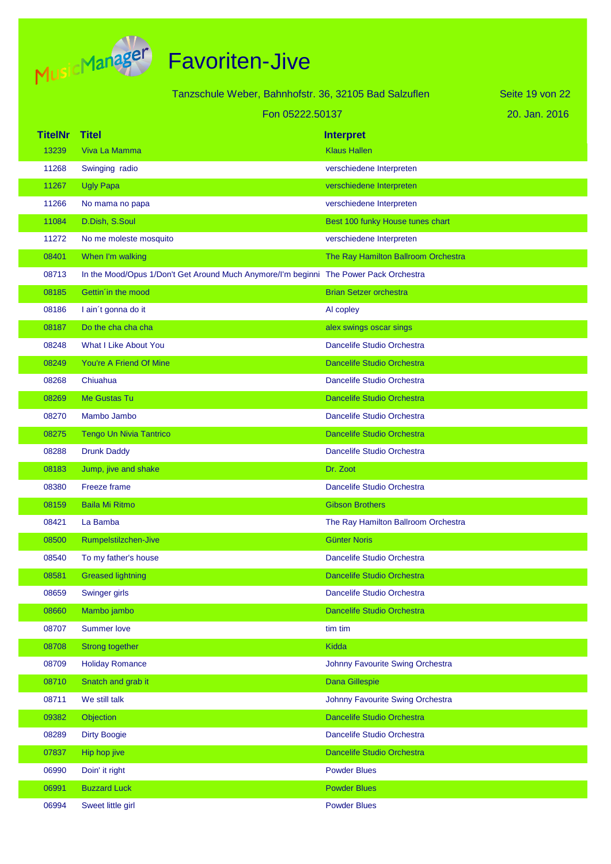

|                | Tanzschule Weber, Bahnhofstr. 36, 32105 Bad Salzuflen                                 |                                     | Seite 19 von 22 |
|----------------|---------------------------------------------------------------------------------------|-------------------------------------|-----------------|
|                | Fon 05222.50137                                                                       |                                     | 20. Jan. 2016   |
| <b>TitelNr</b> | <b>Titel</b>                                                                          | <b>Interpret</b>                    |                 |
| 13239          | Viva La Mamma                                                                         | <b>Klaus Hallen</b>                 |                 |
| 11268          | Swinging radio                                                                        | verschiedene Interpreten            |                 |
| 11267          | <b>Ugly Papa</b>                                                                      | verschiedene Interpreten            |                 |
| 11266          | No mama no papa                                                                       | verschiedene Interpreten            |                 |
| 11084          | D.Dish, S.Soul                                                                        | Best 100 funky House tunes chart    |                 |
| 11272          | No me moleste mosquito                                                                | verschiedene Interpreten            |                 |
| 08401          | When I'm walking                                                                      | The Ray Hamilton Ballroom Orchestra |                 |
| 08713          | In the Mood/Opus 1/Don't Get Around Much Anymore/I'm beginni The Power Pack Orchestra |                                     |                 |
| 08185          | Gettin in the mood                                                                    | <b>Brian Setzer orchestra</b>       |                 |
| 08186          | I ain't gonna do it                                                                   | Al copley                           |                 |
| 08187          | Do the cha cha cha                                                                    | alex swings oscar sings             |                 |
| 08248          | <b>What I Like About You</b>                                                          | Dancelife Studio Orchestra          |                 |
| 08249          | You're A Friend Of Mine                                                               | <b>Dancelife Studio Orchestra</b>   |                 |
| 08268          | Chiuahua                                                                              | Dancelife Studio Orchestra          |                 |
| 08269          | Me Gustas Tu                                                                          | <b>Dancelife Studio Orchestra</b>   |                 |
| 08270          | Mambo Jambo                                                                           | Dancelife Studio Orchestra          |                 |
| 08275          | <b>Tengo Un Nivia Tantrico</b>                                                        | <b>Dancelife Studio Orchestra</b>   |                 |
| 08288          | <b>Drunk Daddy</b>                                                                    | Dancelife Studio Orchestra          |                 |
| 08183          | Jump, jive and shake                                                                  | Dr. Zoot                            |                 |
| 08380          | Freeze frame                                                                          | Dancelife Studio Orchestra          |                 |
| 08159          | <b>Baila Mi Ritmo</b>                                                                 | <b>Gibson Brothers</b>              |                 |
| 08421          | La Bamba                                                                              | The Ray Hamilton Ballroom Orchestra |                 |
| 08500          | Rumpelstilzchen-Jive                                                                  | <b>Günter Noris</b>                 |                 |
| 08540          | To my father's house                                                                  | Dancelife Studio Orchestra          |                 |
| 08581          | <b>Greased lightning</b>                                                              | Dancelife Studio Orchestra          |                 |
| 08659          | Swinger girls                                                                         | Dancelife Studio Orchestra          |                 |
| 08660          | Mambo jambo                                                                           | Dancelife Studio Orchestra          |                 |
| 08707          | <b>Summer love</b>                                                                    | tim tim                             |                 |
| 08708          | <b>Strong together</b>                                                                | <b>Kidda</b>                        |                 |
| 08709          | <b>Holiday Romance</b>                                                                | Johnny Favourite Swing Orchestra    |                 |
| 08710          | Snatch and grab it                                                                    | Dana Gillespie                      |                 |
| 08711          | We still talk                                                                         | Johnny Favourite Swing Orchestra    |                 |
| 09382          | Objection                                                                             | Dancelife Studio Orchestra          |                 |
| 08289          | <b>Dirty Boogie</b>                                                                   | Dancelife Studio Orchestra          |                 |
| 07837          | Hip hop jive                                                                          | Dancelife Studio Orchestra          |                 |
| 06990          | Doin' it right                                                                        | <b>Powder Blues</b>                 |                 |
| 06991          | <b>Buzzard Luck</b>                                                                   | <b>Powder Blues</b>                 |                 |
| 06994          | Sweet little girl                                                                     | <b>Powder Blues</b>                 |                 |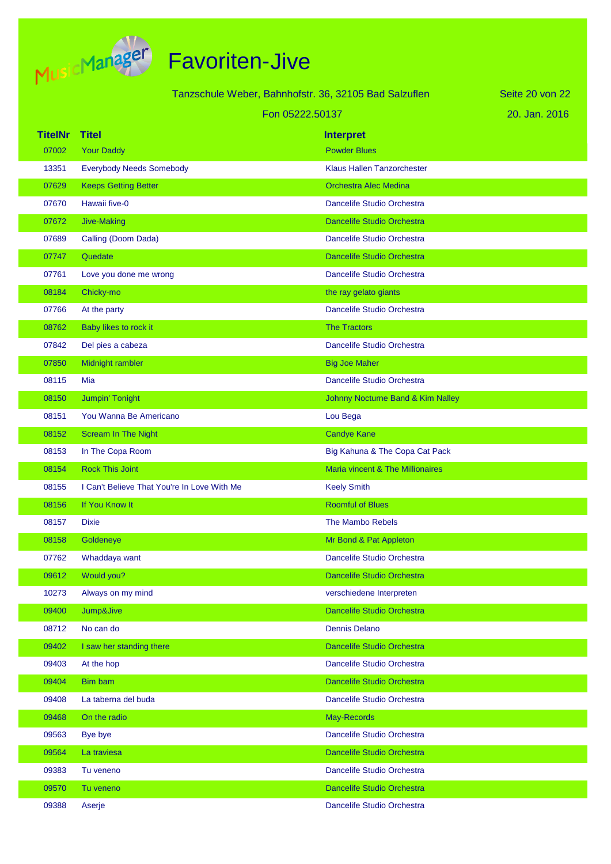

|                |                                             | Tanzschule Weber, Bahnhofstr. 36, 32105 Bad Salzuflen | Seite 20 von 22 |
|----------------|---------------------------------------------|-------------------------------------------------------|-----------------|
|                | Fon 05222.50137                             |                                                       | 20. Jan. 2016   |
| <b>TitelNr</b> | <b>Titel</b>                                | <b>Interpret</b>                                      |                 |
| 07002          | <b>Your Daddy</b>                           | <b>Powder Blues</b>                                   |                 |
| 13351          | <b>Everybody Needs Somebody</b>             | <b>Klaus Hallen Tanzorchester</b>                     |                 |
| 07629          | <b>Keeps Getting Better</b>                 | <b>Orchestra Alec Medina</b>                          |                 |
| 07670          | Hawaii five-0                               | Dancelife Studio Orchestra                            |                 |
| 07672          | Jive-Making                                 | <b>Dancelife Studio Orchestra</b>                     |                 |
| 07689          | Calling (Doom Dada)                         | Dancelife Studio Orchestra                            |                 |
| 07747          | Quedate                                     | <b>Dancelife Studio Orchestra</b>                     |                 |
| 07761          | Love you done me wrong                      | Dancelife Studio Orchestra                            |                 |
| 08184          | Chicky-mo                                   | the ray gelato giants                                 |                 |
| 07766          | At the party                                | Dancelife Studio Orchestra                            |                 |
| 08762          | Baby likes to rock it                       | <b>The Tractors</b>                                   |                 |
| 07842          | Del pies a cabeza                           | Dancelife Studio Orchestra                            |                 |
| 07850          | Midnight rambler                            | <b>Big Joe Maher</b>                                  |                 |
| 08115          | Mia                                         | Dancelife Studio Orchestra                            |                 |
| 08150          | Jumpin' Tonight                             | Johnny Nocturne Band & Kim Nalley                     |                 |
| 08151          | You Wanna Be Americano                      | Lou Bega                                              |                 |
| 08152          | <b>Scream In The Night</b>                  | <b>Candye Kane</b>                                    |                 |
| 08153          | In The Copa Room                            | Big Kahuna & The Copa Cat Pack                        |                 |
| 08154          | <b>Rock This Joint</b>                      | Maria vincent & The Millionaires                      |                 |
| 08155          | I Can't Believe That You're In Love With Me | <b>Keely Smith</b>                                    |                 |
| 08156          | If You Know It                              | <b>Roomful of Blues</b>                               |                 |
| 08157          | <b>Dixie</b>                                | The Mambo Rebels                                      |                 |
| 08158          | Goldeneye                                   | Mr Bond & Pat Appleton                                |                 |
| 07762          | Whaddaya want                               | Dancelife Studio Orchestra                            |                 |
| 09612          | Would you?                                  | Dancelife Studio Orchestra                            |                 |
| 10273          | Always on my mind                           | verschiedene Interpreten                              |                 |
| 09400          | Jump&Jive                                   | Dancelife Studio Orchestra                            |                 |
| 08712          | No can do                                   | Dennis Delano                                         |                 |
| 09402          | I saw her standing there                    | Dancelife Studio Orchestra                            |                 |
| 09403          | At the hop                                  | Dancelife Studio Orchestra                            |                 |
| 09404          | Bim bam                                     | Dancelife Studio Orchestra                            |                 |
| 09408          | La taberna del buda                         | Dancelife Studio Orchestra                            |                 |
| 09468          | On the radio                                | May-Records                                           |                 |
| 09563          | Bye bye                                     | Dancelife Studio Orchestra                            |                 |
| 09564          | La traviesa                                 | Dancelife Studio Orchestra                            |                 |
| 09383          | Tu veneno                                   | Dancelife Studio Orchestra                            |                 |
| 09570          | Tu veneno                                   | Dancelife Studio Orchestra                            |                 |
| 09388          | Aserje                                      | Dancelife Studio Orchestra                            |                 |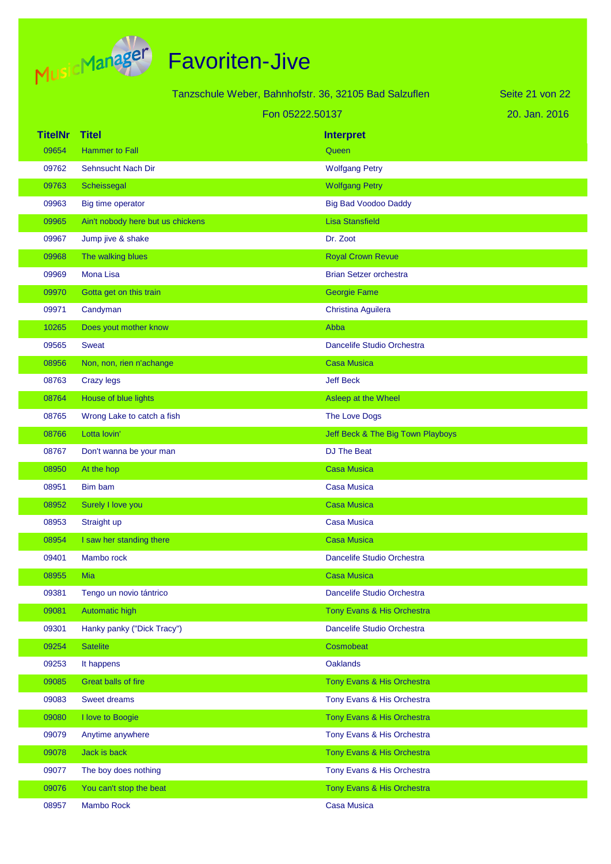

|                |                                   | Tanzschule Weber, Bahnhofstr. 36, 32105 Bad Salzuflen | Seite 21 von 22 |
|----------------|-----------------------------------|-------------------------------------------------------|-----------------|
|                | Fon 05222.50137                   |                                                       | 20. Jan. 2016   |
| <b>TitelNr</b> | <b>Titel</b>                      | <b>Interpret</b>                                      |                 |
| 09654          | <b>Hammer to Fall</b>             | Queen                                                 |                 |
| 09762          | Sehnsucht Nach Dir                | <b>Wolfgang Petry</b>                                 |                 |
| 09763          | Scheissegal                       | <b>Wolfgang Petry</b>                                 |                 |
| 09963          | Big time operator                 | <b>Big Bad Voodoo Daddy</b>                           |                 |
| 09965          | Ain't nobody here but us chickens | <b>Lisa Stansfield</b>                                |                 |
| 09967          | Jump jive & shake                 | Dr. Zoot                                              |                 |
| 09968          | The walking blues                 | <b>Royal Crown Revue</b>                              |                 |
| 09969          | Mona Lisa                         | <b>Brian Setzer orchestra</b>                         |                 |
| 09970          | Gotta get on this train           | <b>Georgie Fame</b>                                   |                 |
| 09971          | Candyman                          | Christina Aguilera                                    |                 |
| 10265          | Does yout mother know             | Abba                                                  |                 |
| 09565          | <b>Sweat</b>                      | Dancelife Studio Orchestra                            |                 |
| 08956          | Non, non, rien n'achange          | <b>Casa Musica</b>                                    |                 |
| 08763          | <b>Crazy legs</b>                 | <b>Jeff Beck</b>                                      |                 |
| 08764          | House of blue lights              | Asleep at the Wheel                                   |                 |
| 08765          | Wrong Lake to catch a fish        | The Love Dogs                                         |                 |
| 08766          | Lotta lovin'                      | Jeff Beck & The Big Town Playboys                     |                 |
| 08767          | Don't wanna be your man           | DJ The Beat                                           |                 |
| 08950          | At the hop                        | <b>Casa Musica</b>                                    |                 |
| 08951          | Bim bam                           | Casa Musica                                           |                 |
| 08952          | Surely I love you                 | <b>Casa Musica</b>                                    |                 |
| 08953          | Straight up                       | <b>Casa Musica</b>                                    |                 |
| 08954          | I saw her standing there          | Casa Musica                                           |                 |
| 09401          | Mambo rock                        | Dancelife Studio Orchestra                            |                 |
| 08955          | Mia                               | <b>Casa Musica</b>                                    |                 |
| 09381          | Tengo un novio tántrico           | Dancelife Studio Orchestra                            |                 |
| 09081          | Automatic high                    | Tony Evans & His Orchestra                            |                 |
| 09301          | Hanky panky ("Dick Tracy")        | Dancelife Studio Orchestra                            |                 |
| 09254          | <b>Satelite</b>                   | Cosmobeat                                             |                 |
| 09253          | It happens                        | <b>Oaklands</b>                                       |                 |
| 09085          | Great balls of fire               | Tony Evans & His Orchestra                            |                 |
| 09083          | Sweet dreams                      | Tony Evans & His Orchestra                            |                 |
| 09080          | I love to Boogie                  | Tony Evans & His Orchestra                            |                 |
| 09079          | Anytime anywhere                  | Tony Evans & His Orchestra                            |                 |
| 09078          | Jack is back                      | Tony Evans & His Orchestra                            |                 |
| 09077          | The boy does nothing              | Tony Evans & His Orchestra                            |                 |
| 09076          | You can't stop the beat           | Tony Evans & His Orchestra                            |                 |
| 08957          | Mambo Rock                        | <b>Casa Musica</b>                                    |                 |